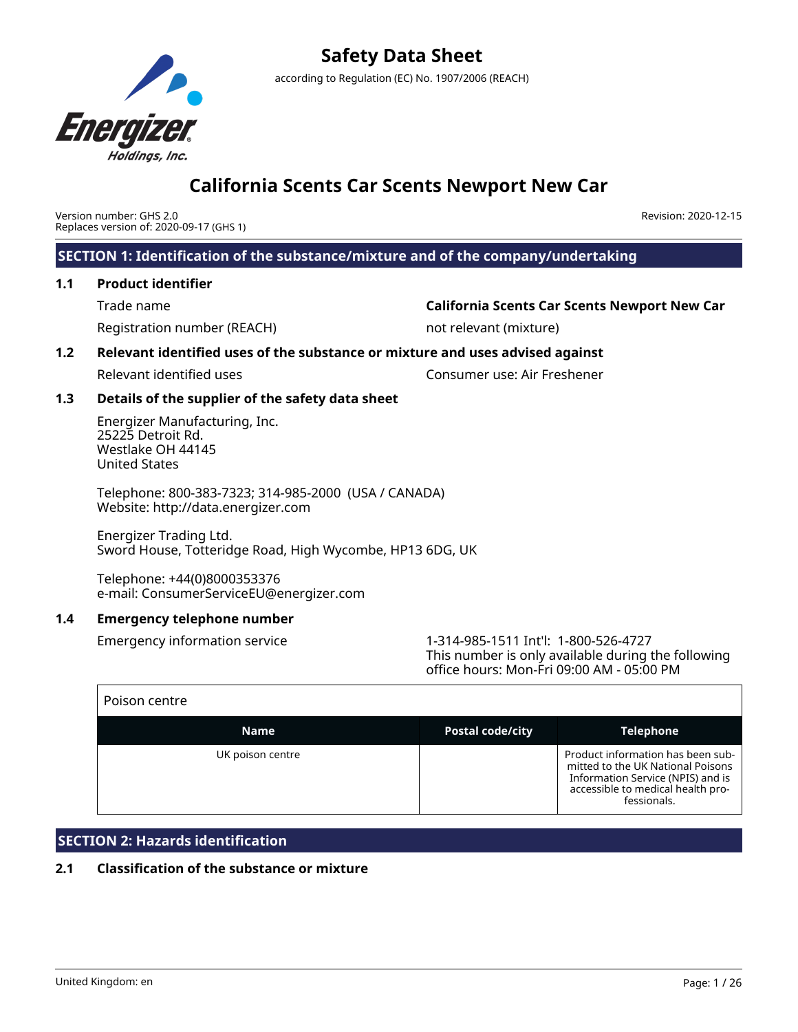

Version number: GHS 2.0 Replaces version of: 2020-09-17 (GHS 1) Revision: 2020-12-15

**SECTION 1: Identification of the substance/mixture and of the company/undertaking**

## **1.1 Product identifier**

Registration number (REACH) not relevant (mixture)

## Trade name **California Scents Car Scents Newport New Car**

## **1.2 Relevant identified uses of the substance or mixture and uses advised against**

Relevant identified uses Consumer use: Air Freshener

## **1.3 Details of the supplier of the safety data sheet**

Energizer Manufacturing, Inc. 25225 Detroit Rd. Westlake OH 44145 United States

Telephone: 800-383-7323; 314-985-2000 (USA / CANADA) Website: http://data.energizer.com

Energizer Trading Ltd. Sword House, Totteridge Road, High Wycombe, HP13 6DG, UK

Telephone: +44(0)8000353376 e-mail: ConsumerServiceEU@energizer.com

## **1.4 Emergency telephone number**

Emergency information service 1-314-985-1511 Int'l: 1-800-526-4727 This number is only available during the following office hours: Mon-Fri 09:00 AM - 05:00 PM

| Poison centre    |                         |                                                                                                                                                                 |
|------------------|-------------------------|-----------------------------------------------------------------------------------------------------------------------------------------------------------------|
| <b>Name</b>      | <b>Postal code/city</b> | <b>Telephone</b>                                                                                                                                                |
| UK poison centre |                         | Product information has been sub-<br>mitted to the UK National Poisons<br>Information Service (NPIS) and is<br>accessible to medical health pro-<br>fessionals. |

## **SECTION 2: Hazards identification**

## **2.1 Classification of the substance or mixture**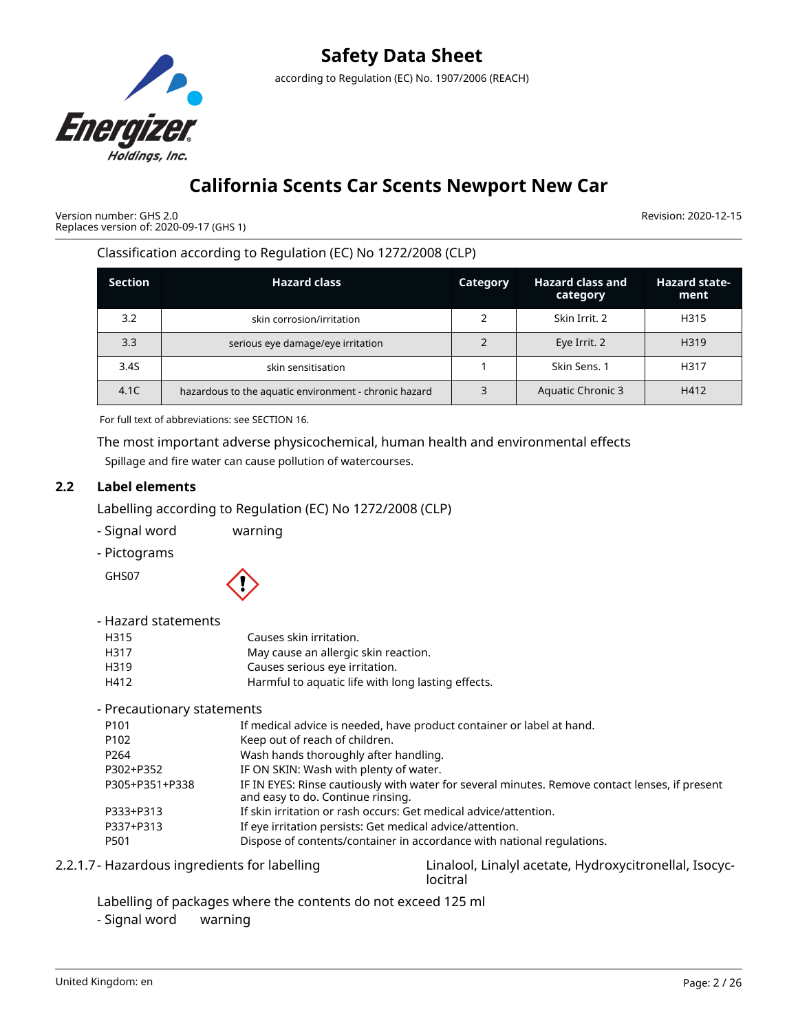

Version number: GHS 2.0 Replaces version of: 2020-09-17 (GHS 1) Revision: 2020-12-15

Classification according to Regulation (EC) No 1272/2008 (CLP)

| <b>Section</b> | <b>Hazard class</b>                                   | Category | <b>Hazard class and</b><br>category | <b>Hazard state-</b><br>ment |
|----------------|-------------------------------------------------------|----------|-------------------------------------|------------------------------|
| 3.2            | skin corrosion/irritation                             |          | Skin Irrit. 2                       | H315                         |
| 3.3            | serious eye damage/eye irritation                     |          | Eye Irrit. 2                        | H319                         |
| 3.4S           | skin sensitisation                                    |          | Skin Sens. 1                        | H317                         |
| 4.1C           | hazardous to the aquatic environment - chronic hazard | 3        | <b>Aquatic Chronic 3</b>            | H412                         |

For full text of abbreviations: see SECTION 16.

The most important adverse physicochemical, human health and environmental effects Spillage and fire water can cause pollution of watercourses.

## **2.2 Label elements**

Labelling according to Regulation (EC) No 1272/2008 (CLP)

- Signal word warning
- Pictograms

GHS07



- Hazard statements

| H315 | Causes skin irritation.                            |
|------|----------------------------------------------------|
| H317 | May cause an allergic skin reaction.               |
| H319 | Causes serious eye irritation.                     |
| H412 | Harmful to aquatic life with long lasting effects. |

- Precautionary statements

| P101           | If medical advice is needed, have product container or label at hand.                                                               |
|----------------|-------------------------------------------------------------------------------------------------------------------------------------|
| P102           | Keep out of reach of children.                                                                                                      |
| P264           | Wash hands thoroughly after handling.                                                                                               |
| P302+P352      | IF ON SKIN: Wash with plenty of water.                                                                                              |
| P305+P351+P338 | IF IN EYES: Rinse cautiously with water for several minutes. Remove contact lenses, if present<br>and easy to do. Continue rinsing. |
| P333+P313      | If skin irritation or rash occurs: Get medical advice/attention.                                                                    |
| P337+P313      | If eye irritation persists: Get medical advice/attention.                                                                           |
| P501           | Dispose of contents/container in accordance with national regulations.                                                              |
|                |                                                                                                                                     |

2.2.1.7- Hazardous ingredients for labelling Linalool, Linalyl acetate, Hydroxycitronellal, Isocyclocitral

- Labelling of packages where the contents do not exceed 125 ml
- Signal word warning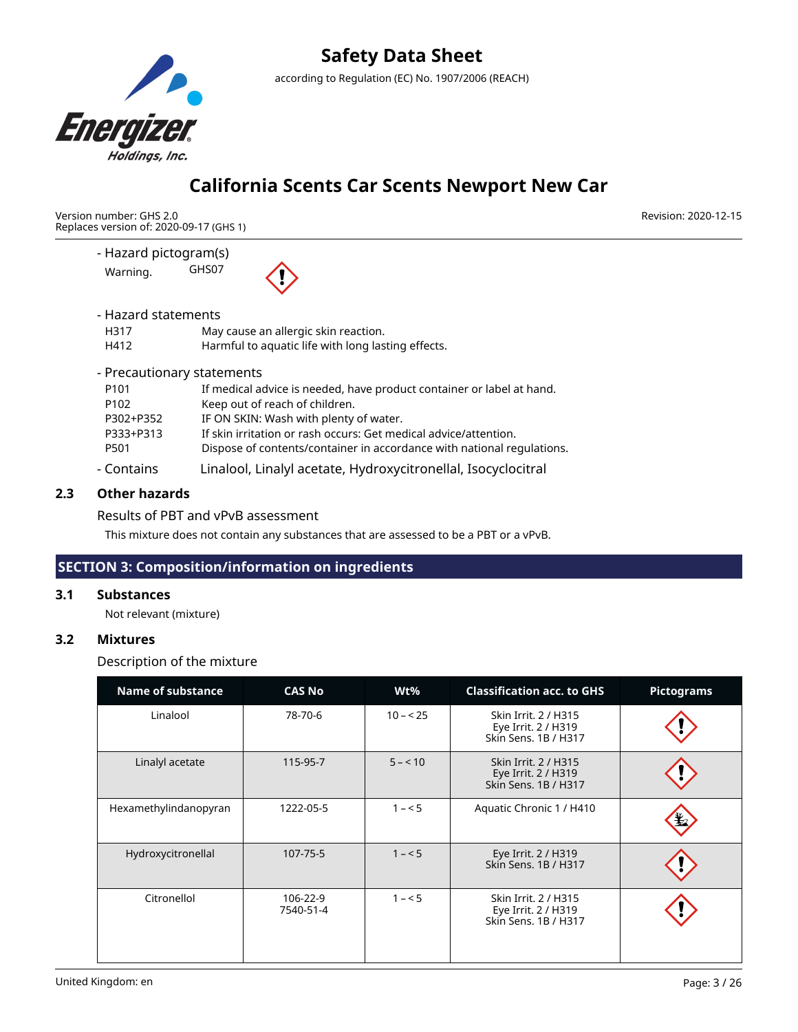

## **California Scents Car Scents Newport New Car**

Version number: GHS 2.0 Replaces version of: 2020-09-17 (GHS 1)

> - Hazard pictogram(s) Warning. GHS07



- Hazard statements

| H317 | May cause an allergic skin reaction.               |
|------|----------------------------------------------------|
| H412 | Harmful to aquatic life with long lasting effects. |

- Precautionary statements

| $C$ ontoinc | Linaleel Linaly acetate Hydromicitropollal Icogridacitral              |
|-------------|------------------------------------------------------------------------|
| P501        | Dispose of contents/container in accordance with national regulations. |
| P333+P313   | If skin irritation or rash occurs: Get medical advice/attention.       |
| P302+P352   | IF ON SKIN: Wash with plenty of water.                                 |
| P102        | Keep out of reach of children.                                         |
| P101        | If medical advice is needed, have product container or label at hand.  |
|             |                                                                        |

- Contains Linalool, Linalyl acetate, Hydroxycitronellal, Isocyclocitral

## **2.3 Other hazards**

## Results of PBT and vPvB assessment

This mixture does not contain any substances that are assessed to be a PBT or a vPvB.

## **SECTION 3: Composition/information on ingredients**

## **3.1 Substances**

Not relevant (mixture)

## **3.2 Mixtures**

Description of the mixture

| <b>Name of substance</b> | <b>CAS No</b>         | Wt%       | <b>Classification acc. to GHS</b>                                          | <b>Pictograms</b> |
|--------------------------|-----------------------|-----------|----------------------------------------------------------------------------|-------------------|
| Linalool                 | 78-70-6               | $10 - 25$ | Skin Irrit. 2 / H315<br>Eye Irrit. 2 / H319<br>Skin Sens, 1B / H317        |                   |
| Linalyl acetate          | 115-95-7              | $5 - 10$  | <b>Skin Irrit. 2 / H315</b><br>Eye Irrit. 2 / H319<br>Skin Sens, 1B / H317 |                   |
| Hexamethylindanopyran    | 1222-05-5             | $1 - 5$   | Aquatic Chronic 1 / H410                                                   |                   |
| Hydroxycitronellal       | 107-75-5              | $1 - 5$   | Eye Irrit. 2 / H319<br>Skin Sens, 1B / H317                                |                   |
| Citronellol              | 106-22-9<br>7540-51-4 | $1 - 5$   | Skin Irrit. 2 / H315<br>Eye Irrit. 2 / H319<br>Skin Sens, 1B / H317        |                   |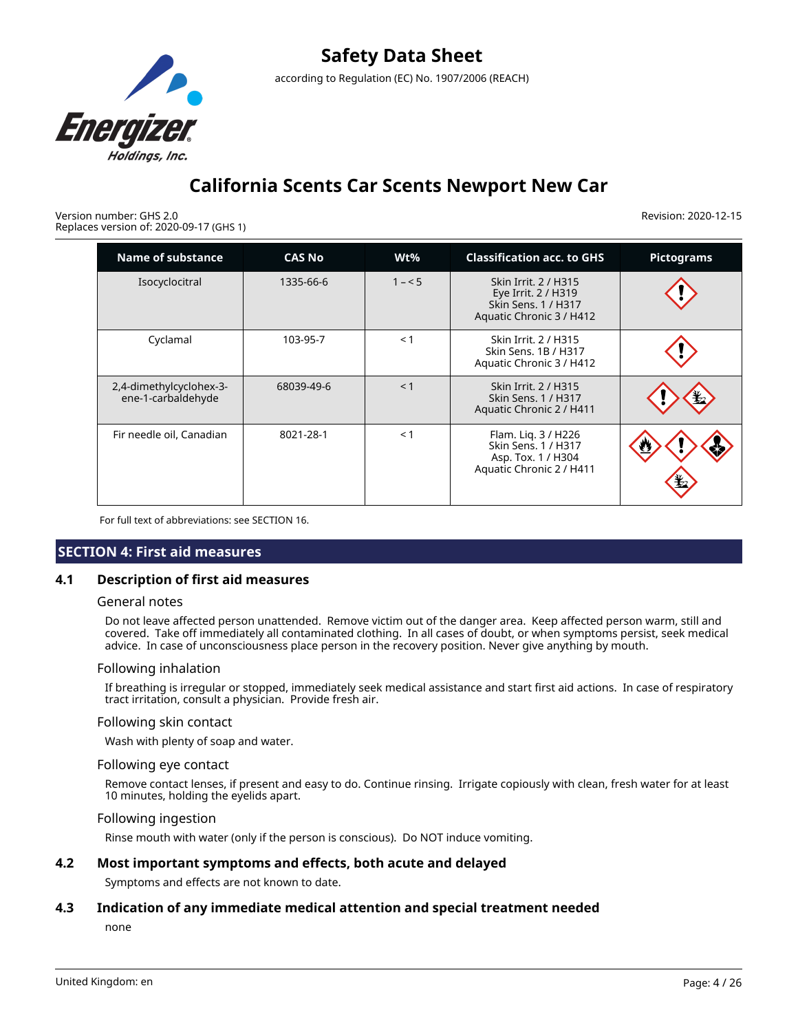

Version number: GHS 2.0 Replaces version of: 2020-09-17 (GHS 1) Revision: 2020-12-15

| Name of substance                             | <b>CAS No</b> | $Wt\%$  | <b>Classification acc. to GHS</b>                                                              | <b>Pictograms</b> |
|-----------------------------------------------|---------------|---------|------------------------------------------------------------------------------------------------|-------------------|
| Isocyclocitral                                | 1335-66-6     | $1 - 5$ | Skin Irrit. 2 / H315<br>Eye Irrit. 2 / H319<br>Skin Sens. 1 / H317<br>Aquatic Chronic 3 / H412 |                   |
| Cyclamal                                      | 103-95-7      | < 1     | Skin Irrit. 2 / H315<br>Skin Sens. 1B / H317<br>Aquatic Chronic 3 / H412                       |                   |
| 2,4-dimethylcyclohex-3-<br>ene-1-carbaldehyde | 68039-49-6    | < 1     | Skin Irrit. 2 / H315<br>Skin Sens. 1 / H317<br>Aquatic Chronic 2 / H411                        |                   |
| Fir needle oil, Canadian                      | 8021-28-1     | < 1     | Flam. Liq. 3 / H226<br>Skin Sens. 1 / H317<br>Asp. Tox. 1 / H304<br>Aquatic Chronic 2 / H411   |                   |

For full text of abbreviations: see SECTION 16.

## **SECTION 4: First aid measures**

### **4.1 Description of first aid measures**

#### General notes

Do not leave affected person unattended. Remove victim out of the danger area. Keep affected person warm, still and covered. Take off immediately all contaminated clothing. In all cases of doubt, or when symptoms persist, seek medical advice. In case of unconsciousness place person in the recovery position. Never give anything by mouth.

#### Following inhalation

If breathing is irregular or stopped, immediately seek medical assistance and start first aid actions. In case of respiratory tract irritation, consult a physician. Provide fresh air.

#### Following skin contact

Wash with plenty of soap and water.

#### Following eye contact

Remove contact lenses, if present and easy to do. Continue rinsing. Irrigate copiously with clean, fresh water for at least 10 minutes, holding the eyelids apart.

#### Following ingestion

Rinse mouth with water (only if the person is conscious). Do NOT induce vomiting.

### **4.2 Most important symptoms and effects, both acute and delayed**

Symptoms and effects are not known to date.

### **4.3 Indication of any immediate medical attention and special treatment needed**

none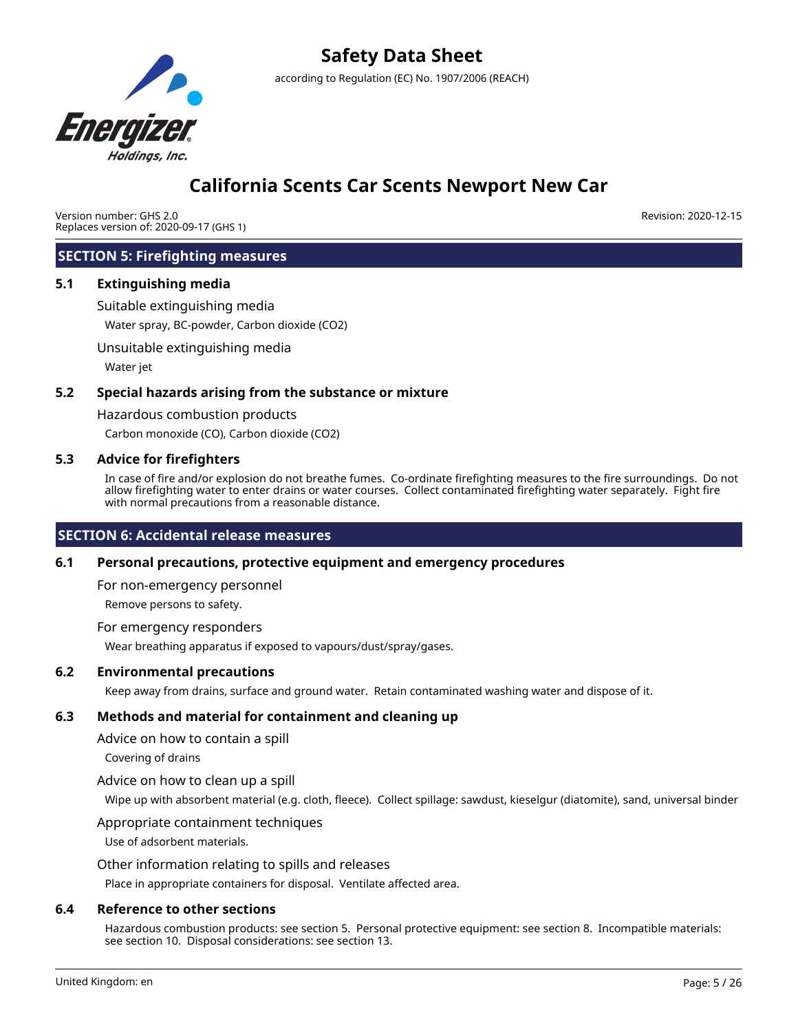

Version number: GHS 2.0 Replaces version of: 2020-09-17 (GHS 1) Revision: 2020-12-15

## **SECTION 5: Firefighting measures**

### **5.1 Extinguishing media**

Suitable extinguishing media

Water spray, BC-powder, Carbon dioxide (CO2)

Unsuitable extinguishing media

Water jet

### **5.2 Special hazards arising from the substance or mixture**

Hazardous combustion products

Carbon monoxide (CO), Carbon dioxide (CO2)

### **5.3 Advice for firefighters**

In case of fire and/or explosion do not breathe fumes. Co-ordinate firefighting measures to the fire surroundings. Do not allow firefighting water to enter drains or water courses. Collect contaminated firefighting water separately. Fight fire with normal precautions from a reasonable distance.

### **SECTION 6: Accidental release measures**

### **6.1 Personal precautions, protective equipment and emergency procedures**

For non-emergency personnel

Remove persons to safety.

For emergency responders

Wear breathing apparatus if exposed to vapours/dust/spray/gases.

#### **6.2 Environmental precautions**

Keep away from drains, surface and ground water. Retain contaminated washing water and dispose of it.

### **6.3 Methods and material for containment and cleaning up**

Advice on how to contain a spill

Covering of drains

#### Advice on how to clean up a spill

Wipe up with absorbent material (e.g. cloth, fleece). Collect spillage: sawdust, kieselgur (diatomite), sand, universal binder

#### Appropriate containment techniques

Use of adsorbent materials.

### Other information relating to spills and releases

Place in appropriate containers for disposal. Ventilate affected area.

#### **6.4 Reference to other sections**

Hazardous combustion products: see section 5. Personal protective equipment: see section 8. Incompatible materials: see section 10. Disposal considerations: see section 13.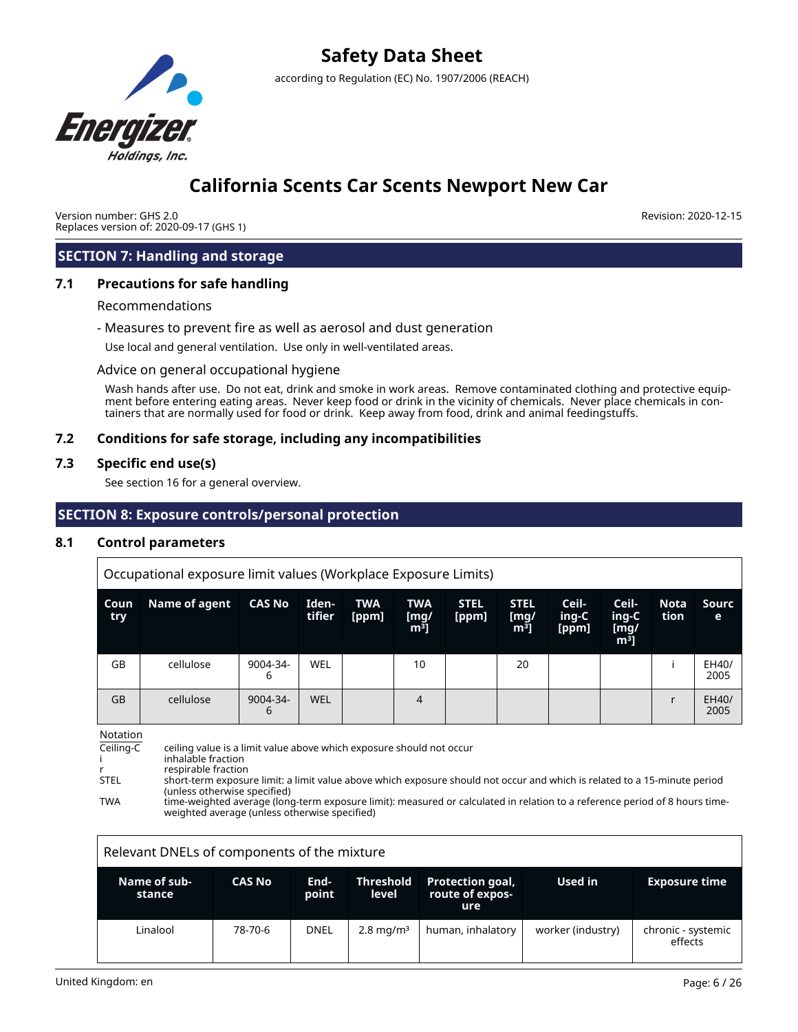

## **California Scents Car Scents Newport New Car**

Version number: GHS 2.0 Replaces version of: 2020-09-17 (GHS 1) Revision: 2020-12-15

## **SECTION 7: Handling and storage**

### **7.1 Precautions for safe handling**

#### Recommendations

- Measures to prevent fire as well as aerosol and dust generation

Use local and general ventilation. Use only in well-ventilated areas.

#### Advice on general occupational hygiene

Wash hands after use. Do not eat, drink and smoke in work areas. Remove contaminated clothing and protective equipment before entering eating areas. Never keep food or drink in the vicinity of chemicals. Never place chemicals in containers that are normally used for food or drink. Keep away from food, drink and animal feedingstuffs.

### **7.2 Conditions for safe storage, including any incompatibilities**

### **7.3 Specific end use(s)**

See section 16 for a general overview.

## **SECTION 8: Exposure controls/personal protection**

### **8.1 Control parameters**

Occupational exposure limit values (Workplace Exposure Limits)

| Coun<br>try | Name of agent | <b>CAS No</b> | Iden-<br>tifier | <b>TWA</b><br>[ppm] | <b>TWA</b><br>[mg/<br>m <sup>3</sup> | <b>STEL</b><br>[ppm] | <b>STEL</b><br>[mg]<br>m <sup>3</sup> | Ceil-<br>ing-C<br>[ppm] | Ceil-<br>ing-C<br>[mg/<br>m <sup>3</sup> | <b>Nota</b><br>tion | Sourc<br>e    |
|-------------|---------------|---------------|-----------------|---------------------|--------------------------------------|----------------------|---------------------------------------|-------------------------|------------------------------------------|---------------------|---------------|
| GB          | cellulose     | 9004-34-<br>b | WEL             |                     | 10                                   |                      | 20                                    |                         |                                          |                     | EH40/<br>2005 |
| <b>GB</b>   | cellulose     | 9004-34-<br>6 | <b>WEL</b>      |                     | 4                                    |                      |                                       |                         |                                          |                     | EH40/<br>2005 |

Notation

Ceiling-C ceiling value is a limit value above which exposure should not occur

inhalable fraction

r respirable fraction<br>STEL short-term exposu short-term exposure limit: a limit value above which exposure should not occur and which is related to a 15-minute period (unless otherwise specified)

TWA time-weighted average (long-term exposure limit): measured or calculated in relation to a reference period of 8 hours timeweighted average (unless otherwise specified)

| Relevant DNELs of components of the mixture |               |               |                           |                                                   |                   |                               |  |  |
|---------------------------------------------|---------------|---------------|---------------------------|---------------------------------------------------|-------------------|-------------------------------|--|--|
| Name of sub-<br>stance                      | <b>CAS No</b> | End-<br>point | <b>Threshold</b><br>level | <b>Protection goal,</b><br>route of expos-<br>ure | Used in           | <b>Exposure time</b>          |  |  |
| Linalool                                    | 78-70-6       | <b>DNEL</b>   | $2.8 \,\mathrm{mg/m^3}$   | human, inhalatory                                 | worker (industry) | chronic - systemic<br>effects |  |  |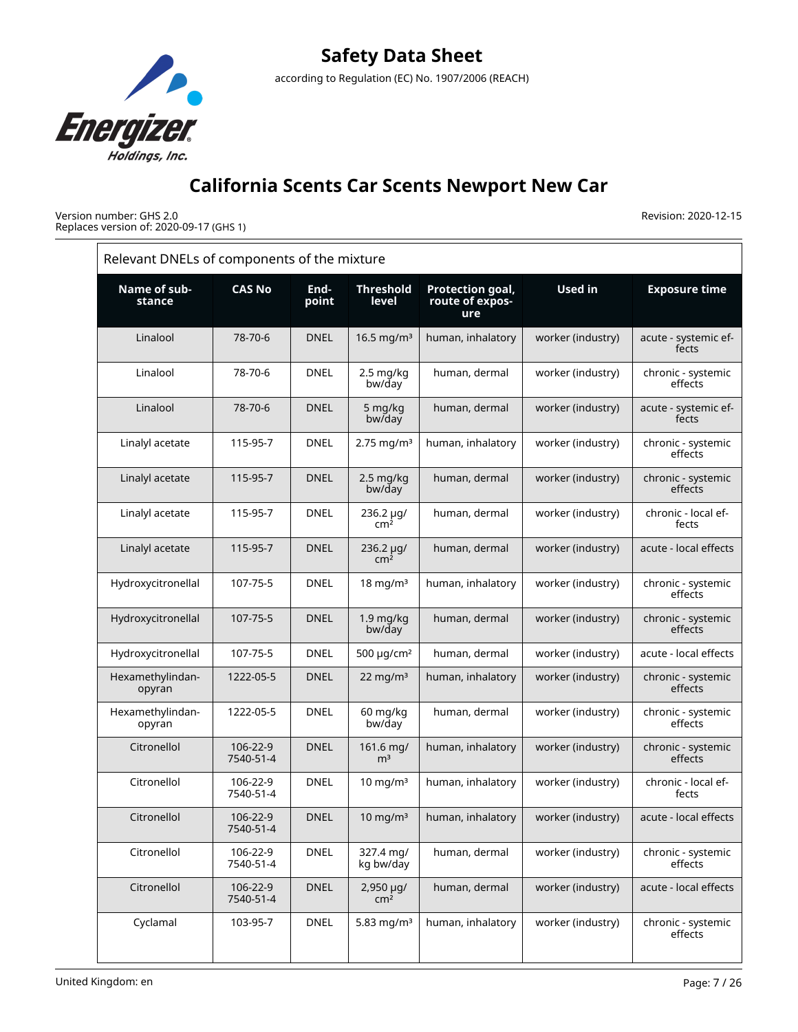

Version number: GHS 2.0 Replaces version of: 2020-09-17 (GHS 1)

|                            | Relevant DNELs of components of the mixture |               |                              |                                            |                   |                               |  |  |  |
|----------------------------|---------------------------------------------|---------------|------------------------------|--------------------------------------------|-------------------|-------------------------------|--|--|--|
| Name of sub-<br>stance     | <b>CAS No</b>                               | End-<br>point | <b>Threshold</b><br>level    | Protection goal,<br>route of expos-<br>ure | <b>Used in</b>    | <b>Exposure time</b>          |  |  |  |
| Linalool                   | 78-70-6                                     | <b>DNEL</b>   | 16.5 mg/ $m3$                | human, inhalatory                          | worker (industry) | acute - systemic ef-<br>fects |  |  |  |
| Linalool                   | 78-70-6                                     | <b>DNEL</b>   | 2.5 mg/kg<br>bw/day          | human, dermal                              | worker (industry) | chronic - systemic<br>effects |  |  |  |
| Linalool                   | 78-70-6                                     | <b>DNEL</b>   | 5 mg/kg<br>bw/day            | human, dermal                              | worker (industry) | acute - systemic ef-<br>fects |  |  |  |
| Linalyl acetate            | 115-95-7                                    | <b>DNEL</b>   | $2.75$ mg/m <sup>3</sup>     | human, inhalatory                          | worker (industry) | chronic - systemic<br>effects |  |  |  |
| Linalyl acetate            | 115-95-7                                    | <b>DNEL</b>   | 2.5 mg/kg<br>bw/day          | human, dermal                              | worker (industry) | chronic - systemic<br>effects |  |  |  |
| Linalyl acetate            | 115-95-7                                    | <b>DNEL</b>   | 236.2 µg/<br>cm <sup>2</sup> | human, dermal                              | worker (industry) | chronic - local ef-<br>fects  |  |  |  |
| Linalyl acetate            | 115-95-7                                    | <b>DNEL</b>   | 236.2 µg/<br>cm <sup>2</sup> | human, dermal                              | worker (industry) | acute - local effects         |  |  |  |
| Hydroxycitronellal         | 107-75-5                                    | <b>DNEL</b>   | $18$ mg/m <sup>3</sup>       | human, inhalatory                          | worker (industry) | chronic - systemic<br>effects |  |  |  |
| Hydroxycitronellal         | 107-75-5                                    | <b>DNEL</b>   | $1.9$ mg/kg<br>bw/day        | human, dermal                              | worker (industry) | chronic - systemic<br>effects |  |  |  |
| Hydroxycitronellal         | 107-75-5                                    | <b>DNEL</b>   | 500 $\mu$ g/cm <sup>2</sup>  | human, dermal                              | worker (industry) | acute - local effects         |  |  |  |
| Hexamethylindan-<br>opyran | 1222-05-5                                   | <b>DNEL</b>   | $22 \text{ mg/m}^3$          | human, inhalatory                          | worker (industry) | chronic - systemic<br>effects |  |  |  |
| Hexamethylindan-<br>opyran | 1222-05-5                                   | <b>DNEL</b>   | 60 mg/kg<br>bw/day           | human, dermal                              | worker (industry) | chronic - systemic<br>effects |  |  |  |
| Citronellol                | 106-22-9<br>7540-51-4                       | <b>DNEL</b>   | 161.6 mg/<br>m <sup>3</sup>  | human, inhalatory                          | worker (industry) | chronic - systemic<br>effects |  |  |  |
| Citronellol                | 106-22-9<br>7540-51-4                       | <b>DNEL</b>   | $10 \text{ mg/m}^3$          | human, inhalatory                          | worker (industry) | chronic - local ef-<br>fects  |  |  |  |
| Citronellol                | 106-22-9<br>7540-51-4                       | <b>DNEL</b>   | $10$ mg/m <sup>3</sup>       | human, inhalatory                          | worker (industry) | acute - local effects         |  |  |  |
| Citronellol                | 106-22-9<br>7540-51-4                       | <b>DNEL</b>   | 327.4 mg/<br>kg bw/day       | human, dermal                              | worker (industry) | chronic - systemic<br>effects |  |  |  |
| Citronellol                | 106-22-9<br>7540-51-4                       | <b>DNEL</b>   | 2,950 µg/<br>cm <sup>2</sup> | human, dermal                              | worker (industry) | acute - local effects         |  |  |  |
| Cyclamal                   | 103-95-7                                    | <b>DNEL</b>   | 5.83 mg/m <sup>3</sup>       | human, inhalatory                          | worker (industry) | chronic - systemic<br>effects |  |  |  |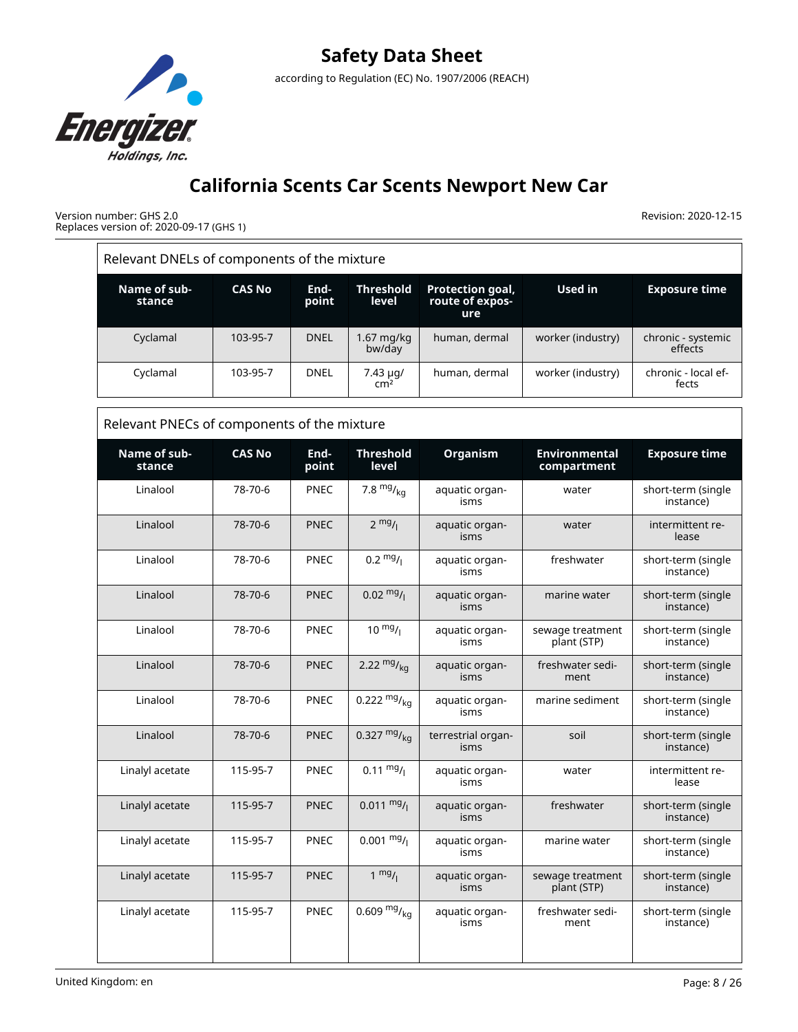

Version number: GHS 2.0 Replaces version of: 2020-09-17 (GHS 1)

|                                             | Relevant DNELs of components of the mixture |               |                                 |                                                   |                                     |                                 |  |  |  |  |
|---------------------------------------------|---------------------------------------------|---------------|---------------------------------|---------------------------------------------------|-------------------------------------|---------------------------------|--|--|--|--|
| Name of sub-<br>stance                      | <b>CAS No</b>                               | End-<br>point | <b>Threshold</b><br>level       | <b>Protection goal,</b><br>route of expos-<br>ure | <b>Used in</b>                      | <b>Exposure time</b>            |  |  |  |  |
| Cyclamal                                    | 103-95-7                                    | <b>DNEL</b>   | 1.67 mg/kg<br>bw/day            | human, dermal                                     | worker (industry)                   | chronic - systemic<br>effects   |  |  |  |  |
| Cyclamal                                    | 103-95-7                                    | <b>DNEL</b>   | $7.43 \mu q$<br>cm <sup>2</sup> | human, dermal                                     | worker (industry)                   | chronic - local ef-<br>fects    |  |  |  |  |
| Relevant PNECs of components of the mixture |                                             |               |                                 |                                                   |                                     |                                 |  |  |  |  |
| Name of sub-<br>stance                      | <b>CAS No</b>                               | End-<br>point | <b>Threshold</b><br>level       | Organism                                          | <b>Environmental</b><br>compartment | <b>Exposure time</b>            |  |  |  |  |
| Linalool                                    | 78-70-6                                     | <b>PNEC</b>   | 7.8 $mg/kq$                     | aquatic organ-<br>isms                            | water                               | short-term (single<br>instance) |  |  |  |  |
| Linalool                                    | 78-70-6                                     | <b>PNEC</b>   | $2 \frac{mg}{l}$                | aquatic organ-<br>isms                            | water                               | intermittent re-<br>lease       |  |  |  |  |
| Linalool                                    | 78-70-6                                     | <b>PNEC</b>   | $0.2 \frac{mg}{l}$              | aquatic organ-<br>isms                            | freshwater                          | short-term (single<br>instance) |  |  |  |  |
| Linalool                                    | 78-70-6                                     | <b>PNEC</b>   | $0.02 \frac{mg}{l}$             | aquatic organ-<br>isms                            | marine water                        | short-term (single<br>instance) |  |  |  |  |
| Linalool                                    | 78-70-6                                     | <b>PNEC</b>   | $10^{mg}$ /                     | aquatic organ-<br>isms                            | sewage treatment<br>plant (STP)     | short-term (single<br>instance) |  |  |  |  |
| Linalool                                    | 78-70-6                                     | <b>PNEC</b>   | 2.22 $mg/kq$                    | aquatic organ-<br>isms                            | freshwater sedi-<br>ment            | short-term (single<br>instance) |  |  |  |  |
| Linalool                                    | 78-70-6                                     | <b>PNEC</b>   | 0.222 $mg/kq$                   | aquatic organ-<br>isms                            | marine sediment                     | short-term (single<br>instance) |  |  |  |  |
| Linalool                                    | 78-70-6                                     | <b>PNEC</b>   | 0.327 $mg/_{ka}$                | terrestrial organ-<br>isms                        | soil                                | short-term (single<br>instance) |  |  |  |  |
| Linalyl acetate                             | 115-95-7                                    | <b>PNEC</b>   | $0.11 \frac{mg}{l}$             | aquatic organ-<br>isms                            | water                               | intermittent re-<br>lease       |  |  |  |  |
| Linalyl acetate                             | 115-95-7                                    | <b>PNEC</b>   | $0.011 \text{ mg}$ /            | aquatic organ-<br>isms                            | freshwater                          | short-term (single<br>instance) |  |  |  |  |
| Linalyl acetate                             | 115-95-7                                    | PNEC          | $0.001 \frac{mg}{L}$            | aquatic organ-<br>isms                            | marine water                        | short-term (single<br>instance) |  |  |  |  |
| Linalyl acetate                             | 115-95-7                                    | <b>PNEC</b>   | $1 \text{ mg}/1$                | aquatic organ-<br>isms                            | sewage treatment<br>plant (STP)     | short-term (single<br>instance) |  |  |  |  |
| Linalyl acetate                             | 115-95-7                                    | PNEC          | 0.609 $mg/kq$                   | aquatic organ-<br>isms                            | freshwater sedi-<br>ment            | short-term (single<br>instance) |  |  |  |  |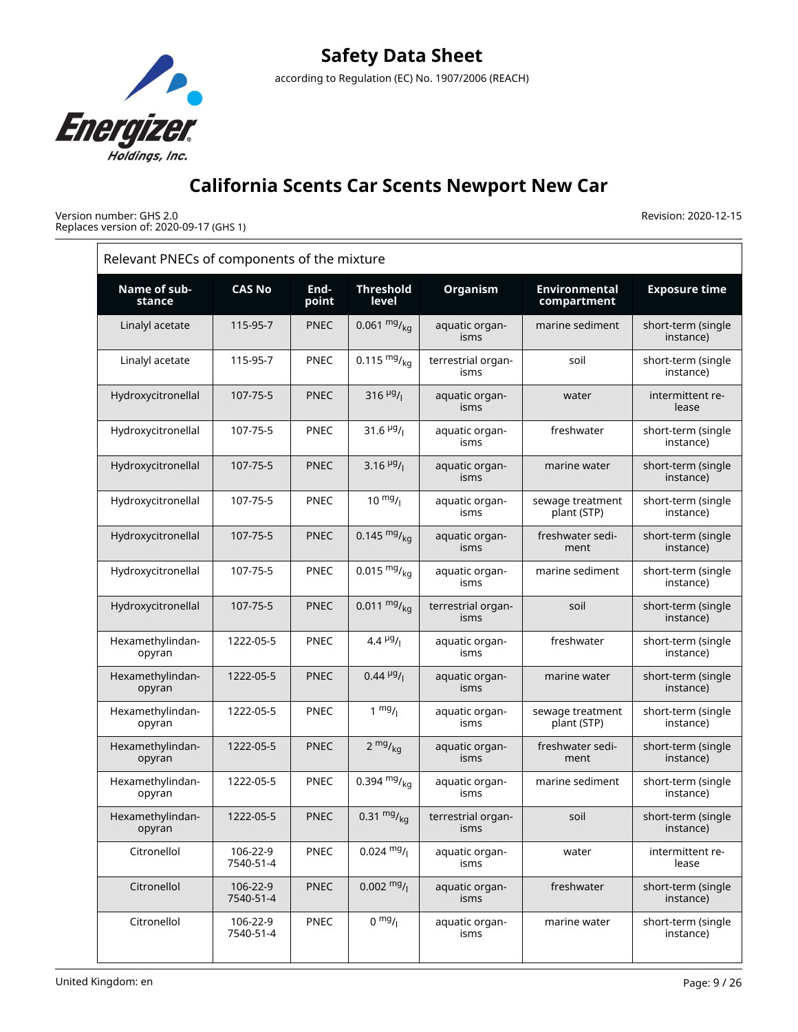

Version number: GHS 2.0 Replaces version of: 2020-09-17 (GHS 1)

| Relevant PNECs of components of the mixture |                       |               |                           |                            |                                     |                                 |
|---------------------------------------------|-----------------------|---------------|---------------------------|----------------------------|-------------------------------------|---------------------------------|
| Name of sub-<br>stance                      | <b>CAS No</b>         | End-<br>point | <b>Threshold</b><br>level | <b>Organism</b>            | <b>Environmental</b><br>compartment | <b>Exposure time</b>            |
| Linalyl acetate                             | 115-95-7              | <b>PNEC</b>   | 0.061 $mg/_{kq}$          | aquatic organ-<br>isms     | marine sediment                     | short-term (single<br>instance) |
| Linalyl acetate                             | 115-95-7              | <b>PNEC</b>   | 0.115 $mg/kq$             | terrestrial organ-<br>isms | soil                                | short-term (single<br>instance) |
| Hydroxycitronellal                          | 107-75-5              | <b>PNEC</b>   | 316 $\frac{\mu g}{I}$     | aquatic organ-<br>isms     | water                               | intermittent re-<br>lease       |
| Hydroxycitronellal                          | 107-75-5              | <b>PNEC</b>   | 31.6 $\frac{\mu g}{\mu}$  | aquatic organ-<br>isms     | freshwater                          | short-term (single<br>instance) |
| Hydroxycitronellal                          | 107-75-5              | <b>PNEC</b>   | 3.16 $\frac{\mu g}{I}$    | aquatic organ-<br>isms     | marine water                        | short-term (single<br>instance) |
| Hydroxycitronellal                          | 107-75-5              | <b>PNEC</b>   | $10^{mg}/l$               | aquatic organ-<br>isms     | sewage treatment<br>plant (STP)     | short-term (single<br>instance) |
| Hydroxycitronellal                          | 107-75-5              | <b>PNEC</b>   | 0.145 $mg/kq$             | aquatic organ-<br>isms     | freshwater sedi-<br>ment            | short-term (single<br>instance) |
| Hydroxycitronellal                          | 107-75-5              | <b>PNEC</b>   | $0.015 \frac{mg}{ka}$     | aquatic organ-<br>isms     | marine sediment                     | short-term (single<br>instance) |
| Hydroxycitronellal                          | 107-75-5              | <b>PNEC</b>   | $0.011 \frac{mg}{kg}$     | terrestrial organ-<br>isms | soil                                | short-term (single<br>instance) |
| Hexamethylindan-<br>opyran                  | 1222-05-5             | <b>PNEC</b>   | 4.4 $\mu$ g/              | aquatic organ-<br>isms     | freshwater                          | short-term (single<br>instance) |
| Hexamethylindan-<br>opyran                  | 1222-05-5             | <b>PNEC</b>   | $0.44 \frac{\mu g}{\mu}$  | aquatic organ-<br>isms     | marine water                        | short-term (single<br>instance) |
| Hexamethylindan-<br>opyran                  | 1222-05-5             | <b>PNEC</b>   | $1 \frac{mg}{l}$          | aquatic organ-<br>isms     | sewage treatment<br>plant (STP)     | short-term (single<br>instance) |
| Hexamethylindan-<br>opyran                  | 1222-05-5             | <b>PNEC</b>   | $2 \frac{mg}{kg}$         | aquatic organ-<br>isms     | freshwater sedi-<br>ment            | short-term (single<br>instance) |
| Hexamethylindan-<br>opyran                  | 1222-05-5             | <b>PNEC</b>   | 0.394 $mg/kq$             | aquatic organ-<br>isms     | marine sediment                     | short-term (single<br>instance) |
| Hexamethylindan-<br>opyran                  | 1222-05-5             | <b>PNEC</b>   | $0.31 \frac{mg}{kg}$      | terrestrial organ-<br>isms | soil                                | short-term (single<br>instance) |
| Citronellol                                 | 106-22-9<br>7540-51-4 | PNEC          | $0.024 \frac{mg}{l}$      | aquatic organ-<br>isms     | water                               | intermittent re-<br>lease       |
| Citronellol                                 | 106-22-9<br>7540-51-4 | <b>PNEC</b>   | $0.002 \frac{mg}{l}$      | aquatic organ-<br>isms     | freshwater                          | short-term (single<br>instance) |
| Citronellol                                 | 106-22-9<br>7540-51-4 | PNEC          | $0 \frac{mg}{l}$          | aquatic organ-<br>isms     | marine water                        | short-term (single<br>instance) |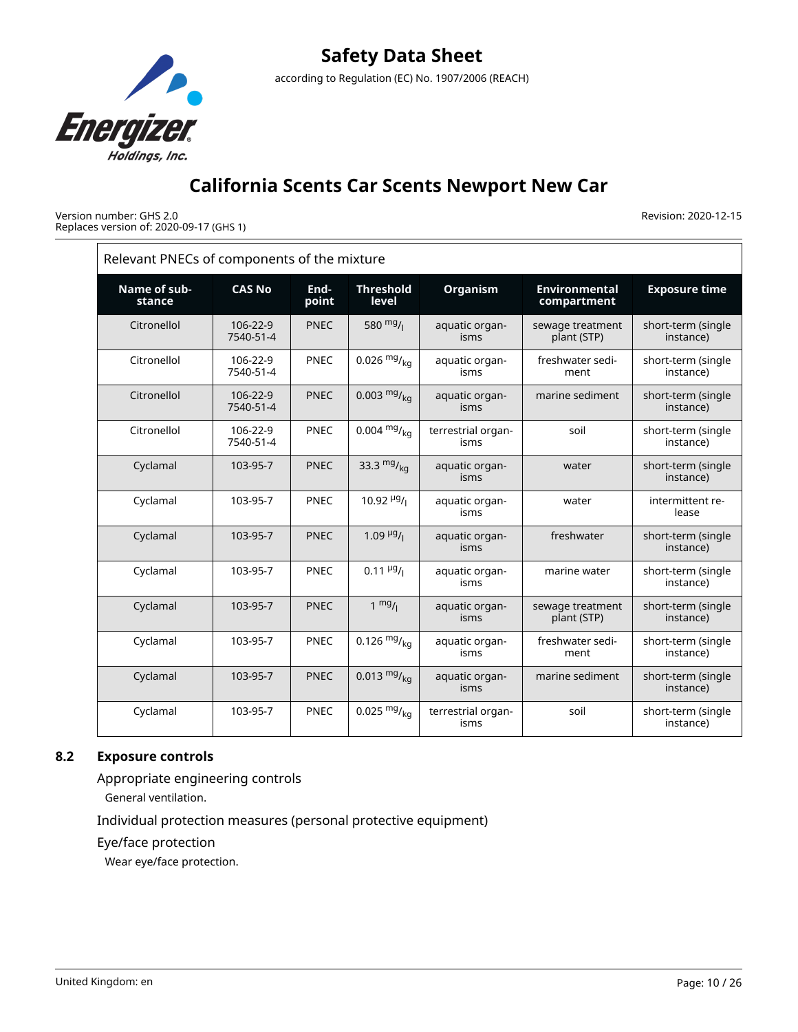

Version number: GHS 2.0 Replaces version of: 2020-09-17 (GHS 1) Revision: 2020-12-15

| Relevant PNECs of components of the mixture |                       |               |                           |                            |                                     |                                 |
|---------------------------------------------|-----------------------|---------------|---------------------------|----------------------------|-------------------------------------|---------------------------------|
| Name of sub-<br>stance                      | <b>CAS No</b>         | End-<br>point | <b>Threshold</b><br>level | Organism                   | <b>Environmental</b><br>compartment | <b>Exposure time</b>            |
| Citronellol                                 | 106-22-9<br>7540-51-4 | <b>PNEC</b>   | 580 $mg/$                 | aquatic organ-<br>isms     | sewage treatment<br>plant (STP)     | short-term (single<br>instance) |
| Citronellol                                 | 106-22-9<br>7540-51-4 | <b>PNEC</b>   | 0.026 $mg/_{kq}$          | aquatic organ-<br>isms     | freshwater sedi-<br>ment            | short-term (single<br>instance) |
| Citronellol                                 | 106-22-9<br>7540-51-4 | <b>PNEC</b>   | $0.003 \frac{mg}{kg}$     | aquatic organ-<br>isms     | marine sediment                     | short-term (single<br>instance) |
| Citronellol                                 | 106-22-9<br>7540-51-4 | <b>PNEC</b>   | $0.004 \frac{mg}{ka}$     | terrestrial organ-<br>isms | soil                                | short-term (single<br>instance) |
| Cyclamal                                    | 103-95-7              | <b>PNEC</b>   | 33.3 $mg/kq$              | aquatic organ-<br>isms     | water                               | short-term (single<br>instance) |
| Cyclamal                                    | 103-95-7              | <b>PNEC</b>   | 10.92 $\frac{\mu g}{I}$   | aquatic organ-<br>isms     | water                               | intermittent re-<br>lease       |
| Cyclamal                                    | 103-95-7              | <b>PNEC</b>   | $1.09\mu g/I$             | aquatic organ-<br>isms     | freshwater                          | short-term (single<br>instance) |
| Cyclamal                                    | 103-95-7              | <b>PNEC</b>   | $0.11 \frac{\mu g}{I}$    | aquatic organ-<br>isms     | marine water                        | short-term (single<br>instance) |
| Cyclamal                                    | 103-95-7              | <b>PNEC</b>   | $1 \frac{mg}{l}$          | aquatic organ-<br>isms     | sewage treatment<br>plant (STP)     | short-term (single<br>instance) |
| Cyclamal                                    | 103-95-7              | <b>PNEC</b>   | $0.126 \frac{mg}{ka}$     | aquatic organ-<br>isms     | freshwater sedi-<br>ment            | short-term (single<br>instance) |
| Cyclamal                                    | 103-95-7              | <b>PNEC</b>   | $0.013 \frac{mg}{kg}$     | aquatic organ-<br>isms     | marine sediment                     | short-term (single<br>instance) |
| Cyclamal                                    | 103-95-7              | <b>PNEC</b>   | $0.025 \frac{mg}{ka}$     | terrestrial organ-<br>isms | soil                                | short-term (single<br>instance) |

## **8.2 Exposure controls**

Appropriate engineering controls

General ventilation.

Individual protection measures (personal protective equipment)

Eye/face protection

Wear eye/face protection.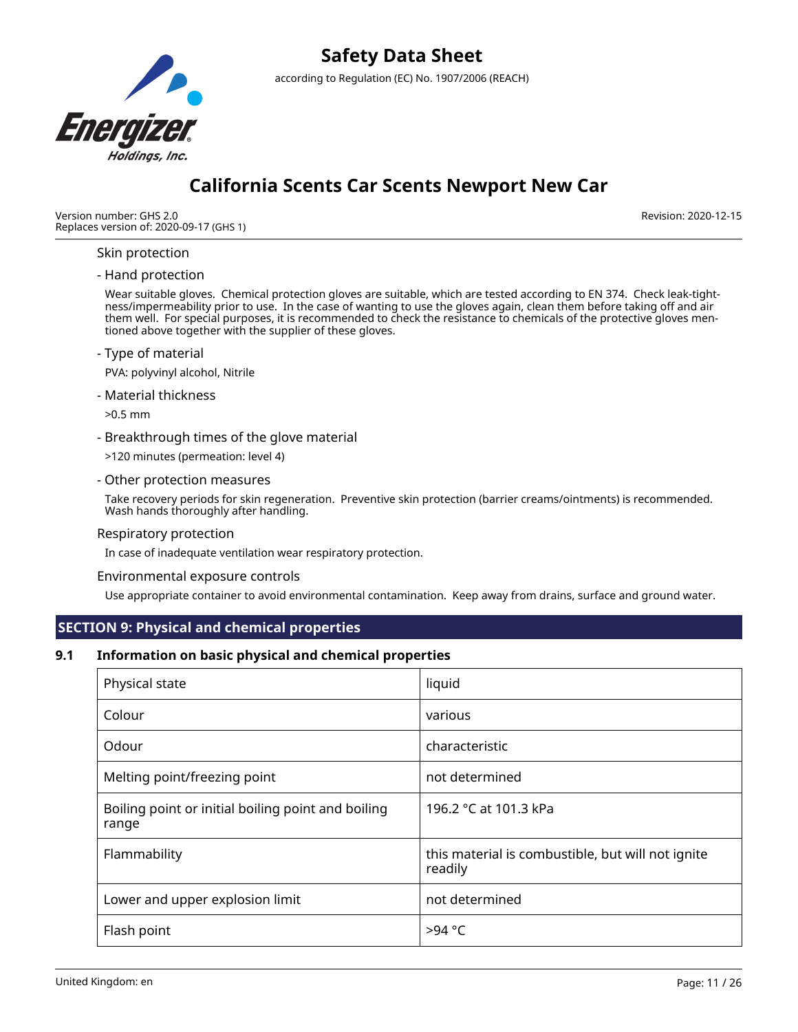

## **California Scents Car Scents Newport New Car**

Version number: GHS 2.0 Replaces version of: 2020-09-17 (GHS 1) Revision: 2020-12-15

## Skin protection

#### - Hand protection

Wear suitable gloves. Chemical protection gloves are suitable, which are tested according to EN 374. Check leak-tightness/impermeability prior to use. In the case of wanting to use the gloves again, clean them before taking off and air them well. For special purposes, it is recommended to check the resistance to chemicals of the protective gloves mentioned above together with the supplier of these gloves.

#### - Type of material

PVA: polyvinyl alcohol, Nitrile

- Material thickness

>0.5 mm

- Breakthrough times of the glove material
- >120 minutes (permeation: level 4)
- Other protection measures

Take recovery periods for skin regeneration. Preventive skin protection (barrier creams/ointments) is recommended. Wash hands thoroughly after handling.

### Respiratory protection

In case of inadequate ventilation wear respiratory protection.

#### Environmental exposure controls

Use appropriate container to avoid environmental contamination. Keep away from drains, surface and ground water.

## **SECTION 9: Physical and chemical properties**

### **9.1 Information on basic physical and chemical properties**

| Physical state                                              | liquid                                                       |
|-------------------------------------------------------------|--------------------------------------------------------------|
| Colour                                                      | various                                                      |
| Odour                                                       | characteristic                                               |
| Melting point/freezing point                                | not determined                                               |
| Boiling point or initial boiling point and boiling<br>range | 196.2 °C at 101.3 kPa                                        |
| Flammability                                                | this material is combustible, but will not ignite<br>readily |
| Lower and upper explosion limit                             | not determined                                               |
| Flash point                                                 | $>94$ °C                                                     |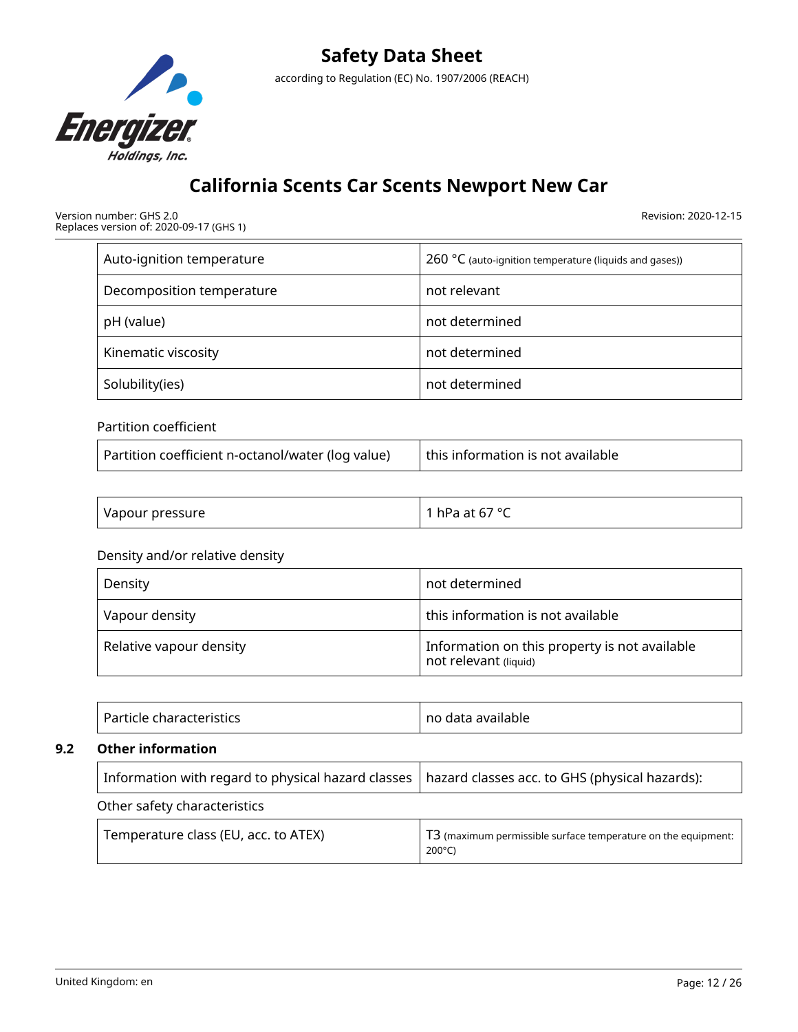

Version number: GHS 2.0 Replaces version of: 2020-09-17 (GHS 1) Revision: 2020-12-15

| Auto-ignition temperature | $260 °C$ (auto-ignition temperature (liquids and gases)) |  |  |
|---------------------------|----------------------------------------------------------|--|--|
| Decomposition temperature | not relevant                                             |  |  |
| pH (value)                | not determined                                           |  |  |
| Kinematic viscosity       | not determined                                           |  |  |
| Solubility(ies)           | not determined                                           |  |  |

## Partition coefficient

| this information is not available |
|-----------------------------------|
|                                   |

| Vapour pressure | r hPa at 67 °C |
|-----------------|----------------|
|-----------------|----------------|

## Density and/or relative density

| Density                 | not determined                                                         |
|-------------------------|------------------------------------------------------------------------|
| Vapour density          | this information is not available                                      |
| Relative vapour density | Information on this property is not available<br>not relevant (liquid) |

|     | Particle characteristics                                                                            | no data available                                                                             |  |  |
|-----|-----------------------------------------------------------------------------------------------------|-----------------------------------------------------------------------------------------------|--|--|
| 9.2 | <b>Other information</b>                                                                            |                                                                                               |  |  |
|     | Information with regard to physical hazard classes   hazard classes acc. to GHS (physical hazards): |                                                                                               |  |  |
|     | Other safety characteristics                                                                        |                                                                                               |  |  |
|     | Temperature class (EU, acc. to ATEX)                                                                | T <sub>3</sub> (maximum permissible surface temperature on the equipment:<br>$200^{\circ}$ C) |  |  |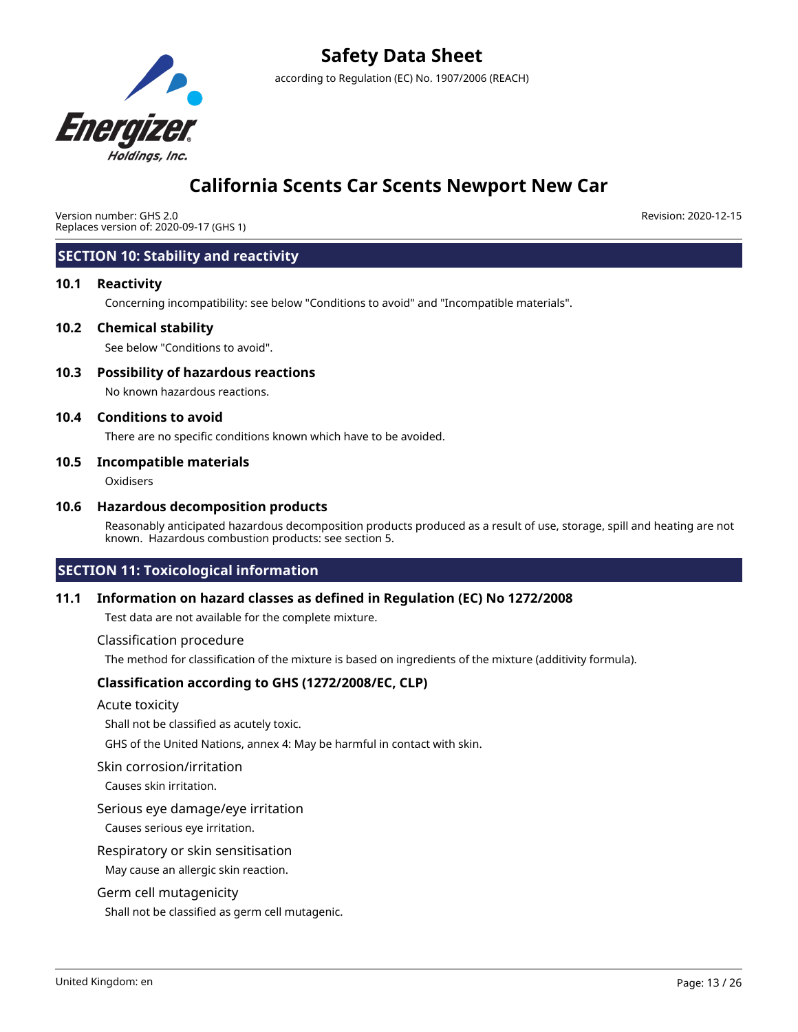

## **California Scents Car Scents Newport New Car**

Version number: GHS 2.0 Replaces version of: 2020-09-17 (GHS 1) Revision: 2020-12-15

## **SECTION 10: Stability and reactivity**

#### **10.1 Reactivity**

Concerning incompatibility: see below "Conditions to avoid" and "Incompatible materials".

#### **10.2 Chemical stability**

See below "Conditions to avoid".

## **10.3 Possibility of hazardous reactions**

No known hazardous reactions.

#### **10.4 Conditions to avoid**

There are no specific conditions known which have to be avoided.

#### **10.5 Incompatible materials**

**Oxidisers** 

#### **10.6 Hazardous decomposition products**

Reasonably anticipated hazardous decomposition products produced as a result of use, storage, spill and heating are not known. Hazardous combustion products: see section 5.

## **SECTION 11: Toxicological information**

### **11.1 Information on hazard classes as defined in Regulation (EC) No 1272/2008**

Test data are not available for the complete mixture.

#### Classification procedure

The method for classification of the mixture is based on ingredients of the mixture (additivity formula).

### **Classification according to GHS (1272/2008/EC, CLP)**

#### Acute toxicity

Shall not be classified as acutely toxic.

GHS of the United Nations, annex 4: May be harmful in contact with skin.

#### Skin corrosion/irritation

Causes skin irritation.

#### Serious eye damage/eye irritation

Causes serious eye irritation.

#### Respiratory or skin sensitisation

May cause an allergic skin reaction.

#### Germ cell mutagenicity

Shall not be classified as germ cell mutagenic.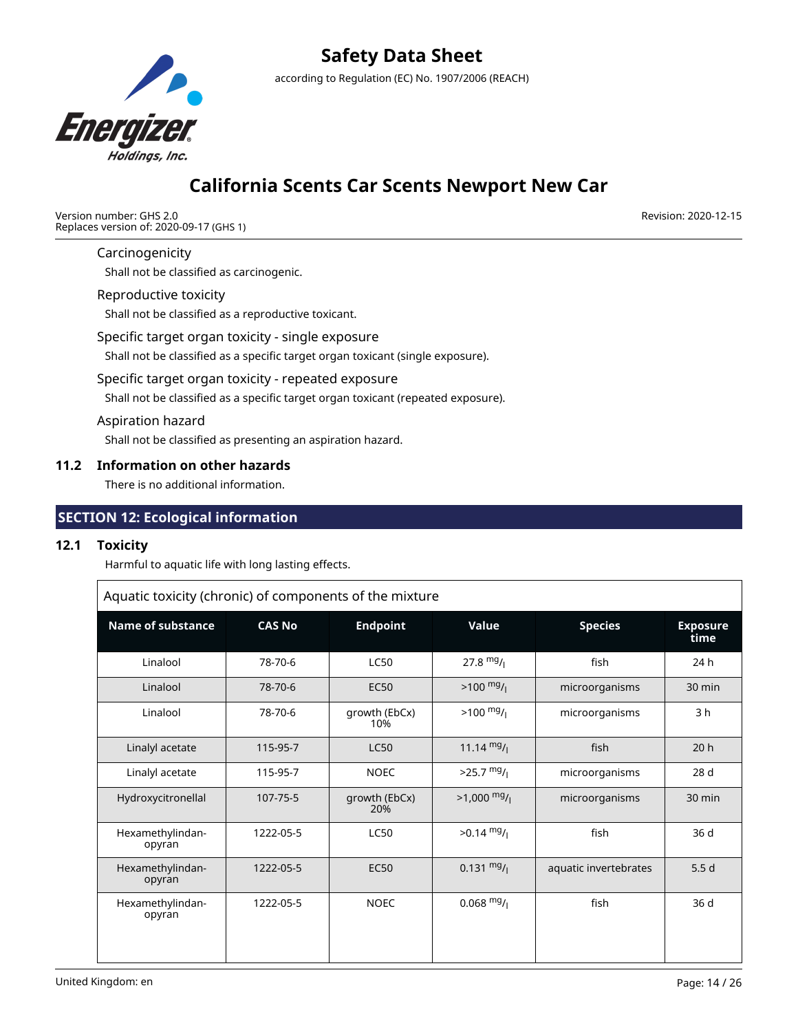

## **California Scents Car Scents Newport New Car**

Version number: GHS 2.0 Replaces version of: 2020-09-17 (GHS 1) Revision: 2020-12-15

### Carcinogenicity

Shall not be classified as carcinogenic.

## Reproductive toxicity

Shall not be classified as a reproductive toxicant.

#### Specific target organ toxicity - single exposure

Shall not be classified as a specific target organ toxicant (single exposure).

## Specific target organ toxicity - repeated exposure

Shall not be classified as a specific target organ toxicant (repeated exposure).

#### Aspiration hazard

Shall not be classified as presenting an aspiration hazard.

### **11.2 Information on other hazards**

There is no additional information.

## **SECTION 12: Ecological information**

## **12.1 Toxicity**

Harmful to aquatic life with long lasting effects.

| Aquatic toxicity (chronic) of components of the mixture |               |                      |                       |                       |                         |  |
|---------------------------------------------------------|---------------|----------------------|-----------------------|-----------------------|-------------------------|--|
| <b>Name of substance</b>                                | <b>CAS No</b> | <b>Endpoint</b>      | Value                 | <b>Species</b>        | <b>Exposure</b><br>time |  |
| Linalool                                                | 78-70-6       | <b>LC50</b>          | $27.8 \frac{mg}{l}$   | fish                  | 24h                     |  |
| Linalool                                                | 78-70-6       | <b>EC50</b>          | $>100 \frac{mg}{l}$   | microorganisms        | 30 min                  |  |
| Linalool                                                | 78-70-6       | growth (EbCx)<br>10% | $>100 \frac{mg}{l}$   | microorganisms        | 3 <sub>h</sub>          |  |
| Linalyl acetate                                         | 115-95-7      | <b>LC50</b>          | 11.14 $mg/$           | fish                  | 20h                     |  |
| Linalyl acetate                                         | 115-95-7      | <b>NOEC</b>          | $>25.7$ mg/           | microorganisms        | 28 <sub>d</sub>         |  |
| Hydroxycitronellal                                      | 107-75-5      | growth (EbCx)<br>20% | $>1,000 \frac{mg}{l}$ | microorganisms        | 30 min                  |  |
| Hexamethylindan-<br>opyran                              | 1222-05-5     | <b>LC50</b>          | $>0.14 \frac{mg}{l}$  | fish                  | 36 d                    |  |
| Hexamethylindan-<br>opyran                              | 1222-05-5     | <b>EC50</b>          | $0.131 \frac{mg}{l}$  | aquatic invertebrates | 5.5d                    |  |
| Hexamethylindan-<br>opyran                              | 1222-05-5     | <b>NOEC</b>          | $0.068 \text{ mg}$ /  | fish                  | 36 d                    |  |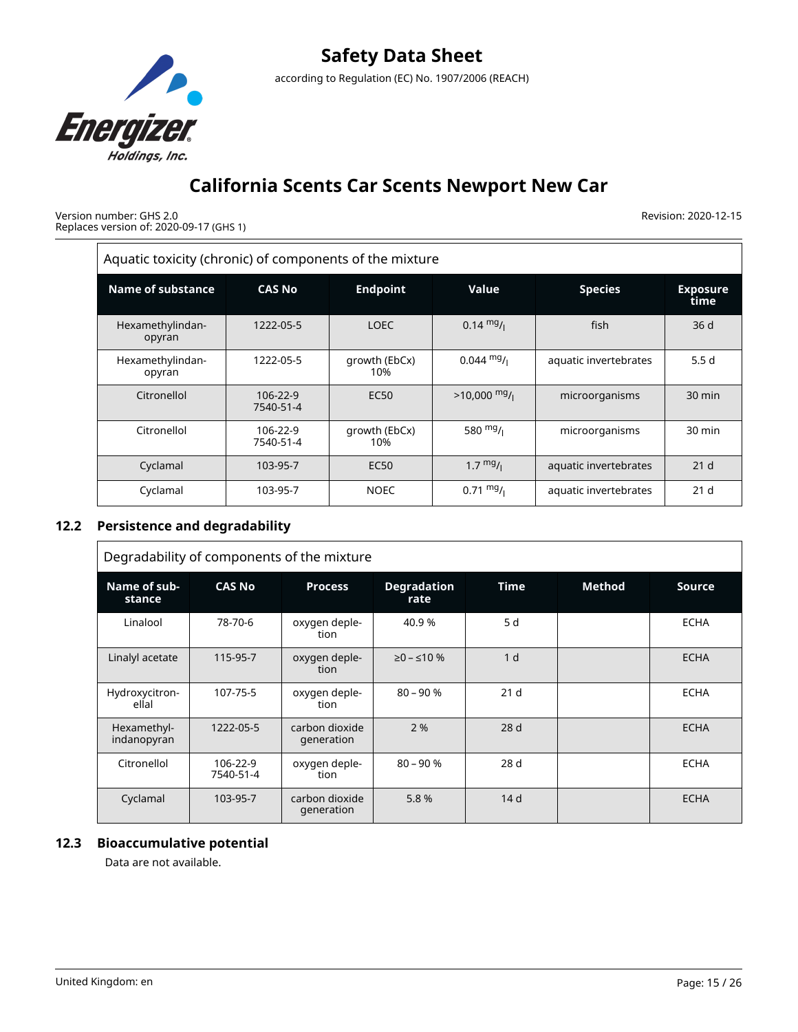

Version number: GHS 2.0 Replaces version of: 2020-09-17 (GHS 1) Revision: 2020-12-15

| Aquatic toxicity (chronic) of components of the mixture |                       |                      |                      |                         |                 |  |  |
|---------------------------------------------------------|-----------------------|----------------------|----------------------|-------------------------|-----------------|--|--|
| Name of substance                                       | <b>CAS No</b>         | <b>Endpoint</b>      | <b>Species</b>       | <b>Exposure</b><br>time |                 |  |  |
| Hexamethylindan-<br>opyran                              | 1222-05-5             | <b>LOEC</b>          | $0.14 \frac{mg}{L}$  | fish                    | 36d             |  |  |
| Hexamethylindan-<br>opyran                              | 1222-05-5             | growth (EbCx)<br>10% | $0.044 \text{ mg}/1$ | aquatic invertebrates   | 5.5d            |  |  |
| Citronellol                                             | 106-22-9<br>7540-51-4 | <b>EC50</b>          | $>10,000$ mg/        | microorganisms          | $30$ min        |  |  |
| Citronellol                                             | 106-22-9<br>7540-51-4 | growth (EbCx)<br>10% | 580 $mg/1$           | microorganisms          | 30 min          |  |  |
| Cyclamal                                                | 103-95-7              | <b>EC50</b>          | $1.7 \frac{mg}{l}$   | aquatic invertebrates   | 21 <sub>d</sub> |  |  |
| Cyclamal                                                | 103-95-7              | <b>NOEC</b>          | $0.71 \text{ mg}$ /  | aquatic invertebrates   | 21 <sub>d</sub> |  |  |

## **12.2 Persistence and degradability**

| Degradability of components of the mixture |                       |                              |                            |                 |        |               |  |
|--------------------------------------------|-----------------------|------------------------------|----------------------------|-----------------|--------|---------------|--|
| Name of sub-<br>stance                     | <b>CAS No</b>         | <b>Process</b>               | <b>Degradation</b><br>rate | <b>Time</b>     | Method | <b>Source</b> |  |
| Linalool                                   | 78-70-6               | oxygen deple-<br>tion        | 40.9%                      | 5 d             |        | <b>ECHA</b>   |  |
| Linalyl acetate                            | 115-95-7              | oxygen deple-<br>tion        | $≥0 - ≤10$ %               | 1 <sub>d</sub>  |        | <b>ECHA</b>   |  |
| Hydroxycitron-<br>ellal                    | 107-75-5              | oxygen deple-<br>tion        | $80 - 90%$                 | 21 <sub>d</sub> |        | <b>ECHA</b>   |  |
| Hexamethyl-<br>indanopyran                 | 1222-05-5             | carbon dioxide<br>generation | 2%                         | 28d             |        | <b>ECHA</b>   |  |
| Citronellol                                | 106-22-9<br>7540-51-4 | oxygen deple-<br>tion        | $80 - 90%$                 | 28d             |        | <b>ECHA</b>   |  |
| Cyclamal                                   | 103-95-7              | carbon dioxide<br>generation | 5.8%                       | 14 <sub>d</sub> |        | <b>ECHA</b>   |  |

## **12.3 Bioaccumulative potential**

Data are not available.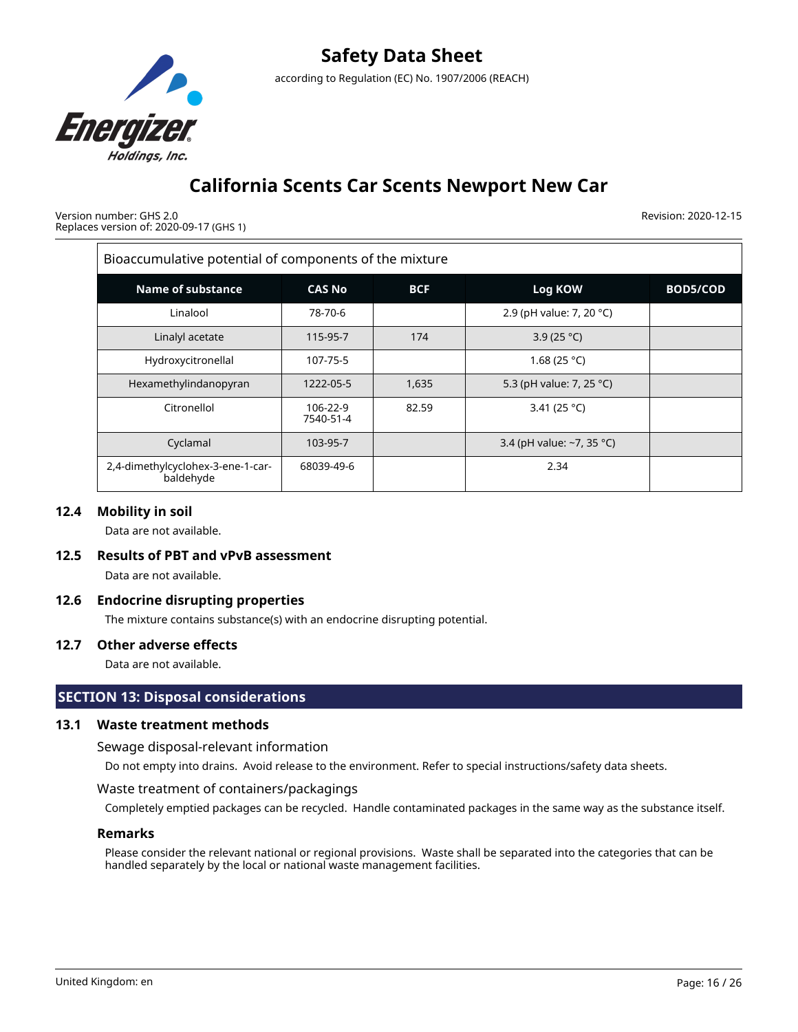

Version number: GHS 2.0 Replaces version of: 2020-09-17 (GHS 1) Revision: 2020-12-15

| Bioaccumulative potential of components of the mixture |                       |            |                           |          |  |  |
|--------------------------------------------------------|-----------------------|------------|---------------------------|----------|--|--|
| Name of substance                                      | <b>CAS No</b>         | <b>BCF</b> | Log KOW                   | BOD5/COD |  |  |
| Linalool                                               | 78-70-6               |            | 2.9 (pH value: 7, 20 °C)  |          |  |  |
| Linalyl acetate                                        | 115-95-7              | 174        | 3.9 (25 °C)               |          |  |  |
| Hydroxycitronellal                                     | 107-75-5              |            | 1.68 (25 °C)              |          |  |  |
| Hexamethylindanopyran                                  | 1222-05-5             | 1,635      | 5.3 (pH value: 7, 25 °C)  |          |  |  |
| Citronellol                                            | 106-22-9<br>7540-51-4 | 82.59      | 3.41 (25 °C)              |          |  |  |
| Cyclamal                                               | 103-95-7              |            | 3.4 (pH value: ~7, 35 °C) |          |  |  |
| 2,4-dimethylcyclohex-3-ene-1-car-<br>baldehyde         | 68039-49-6            |            | 2.34                      |          |  |  |

## **12.4 Mobility in soil**

Data are not available.

### **12.5 Results of PBT and vPvB assessment**

Data are not available.

### **12.6 Endocrine disrupting properties**

The mixture contains substance(s) with an endocrine disrupting potential.

### **12.7 Other adverse effects**

Data are not available.

## **SECTION 13: Disposal considerations**

## **13.1 Waste treatment methods**

Sewage disposal-relevant information

Do not empty into drains. Avoid release to the environment. Refer to special instructions/safety data sheets.

### Waste treatment of containers/packagings

Completely emptied packages can be recycled. Handle contaminated packages in the same way as the substance itself.

## **Remarks**

Please consider the relevant national or regional provisions. Waste shall be separated into the categories that can be handled separately by the local or national waste management facilities.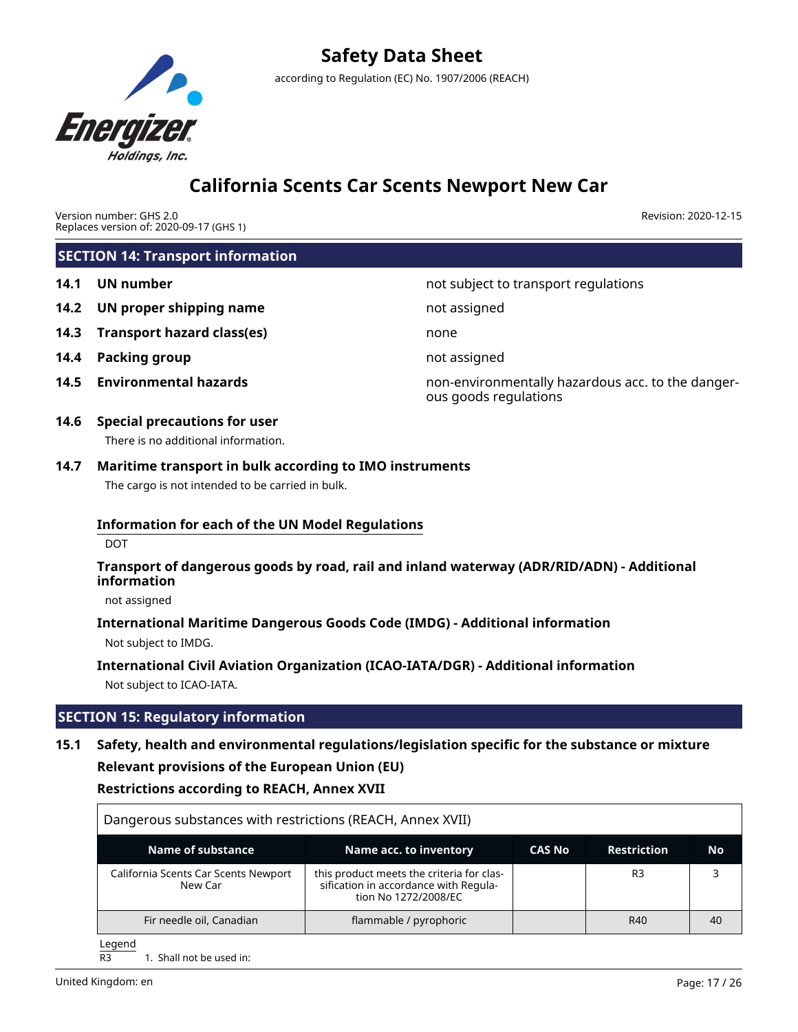

Version number: GHS 2.0 Replaces version of: 2020-09-17 (GHS 1) Revision: 2020-12-15

|      | <b>SECTION 14: Transport information</b>                                                                                                                                                                      |                                                                            |
|------|---------------------------------------------------------------------------------------------------------------------------------------------------------------------------------------------------------------|----------------------------------------------------------------------------|
| 14.1 | <b>UN number</b>                                                                                                                                                                                              | not subject to transport regulations                                       |
| 14.2 | UN proper shipping name                                                                                                                                                                                       | not assigned                                                               |
| 14.3 | <b>Transport hazard class(es)</b>                                                                                                                                                                             | none                                                                       |
| 14.4 | <b>Packing group</b>                                                                                                                                                                                          | not assigned                                                               |
| 14.5 | <b>Environmental hazards</b>                                                                                                                                                                                  | non-environmentally hazardous acc. to the danger-<br>ous goods regulations |
| 14.6 | <b>Special precautions for user</b><br>There is no additional information.                                                                                                                                    |                                                                            |
| 14.7 | Maritime transport in bulk according to IMO instruments<br>The cargo is not intended to be carried in bulk.                                                                                                   |                                                                            |
|      | <b>Information for each of the UN Model Regulations</b><br><b>DOT</b>                                                                                                                                         |                                                                            |
|      | Transport of dangerous goods by road, rail and inland waterway (ADR/RID/ADN) - Additional<br>information                                                                                                      |                                                                            |
|      | not assigned                                                                                                                                                                                                  |                                                                            |
|      | International Maritime Dangerous Goods Code (IMDG) - Additional information<br>Not subject to IMDG.                                                                                                           |                                                                            |
|      | International Civil Aviation Organization (ICAO-IATA/DGR) - Additional information<br>Not subject to ICAO-IATA.                                                                                               |                                                                            |
|      | <b>SECTION 15: Regulatory information</b>                                                                                                                                                                     |                                                                            |
| 15.1 | Safety, health and environmental regulations/legislation specific for the substance or mixture<br><b>Relevant provisions of the European Union (EU)</b><br><b>Restrictions according to REACH, Annex XVII</b> |                                                                            |

| Dangerous substances with restrictions (REACH, Annex XVII) |                                                                                                            |               |                    |    |
|------------------------------------------------------------|------------------------------------------------------------------------------------------------------------|---------------|--------------------|----|
| <b>Name of substance</b>                                   | Name acc. to inventory                                                                                     | <b>CAS No</b> | <b>Restriction</b> | Νo |
| California Scents Car Scents Newport<br>New Car            | this product meets the criteria for clas-<br>sification in accordance with Regula-<br>tion No 1272/2008/EC |               | R <sub>3</sub>     |    |
| Fir needle oil, Canadian                                   | flammable / pyrophoric                                                                                     |               | R40                | 40 |

 $\frac{\text{Legend}}{\text{R3}}$ 

1. Shall not be used in: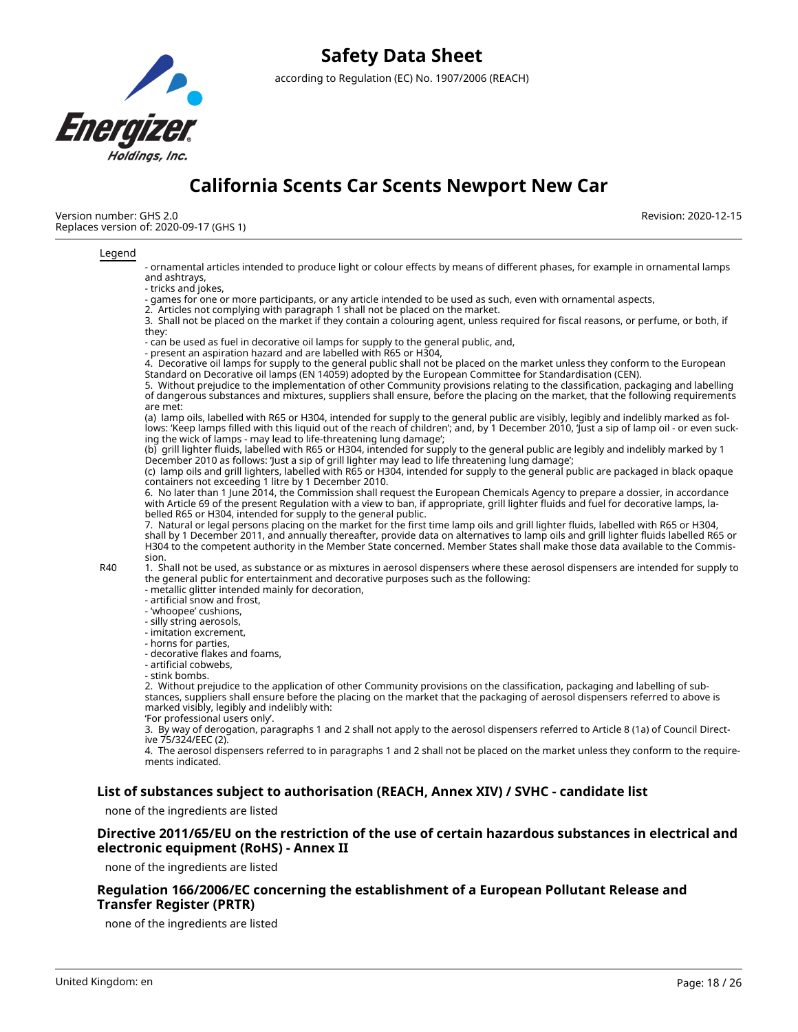

# **Safety Data Sheet**

according to Regulation (EC) No. 1907/2006 (REACH)

# **California Scents Car Scents Newport New Car**

Revision: 2020-12-15

Version number: GHS 2.0 Replaces version of: 2020-09-17 (GHS 1)

#### Legend

- ornamental articles intended to produce light or colour effects by means of different phases, for example in ornamental lamps and ashtrays,

- tricks and jokes,

- games for one or more participants, or any article intended to be used as such, even with ornamental aspects,

2. Articles not complying with paragraph 1 shall not be placed on the market.

3. Shall not be placed on the market if they contain a colouring agent, unless required for fiscal reasons, or perfume, or both, if they:

- can be used as fuel in decorative oil lamps for supply to the general public, and,

- present an aspiration hazard and are labelled with R65 or H304,

4. Decorative oil lamps for supply to the general public shall not be placed on the market unless they conform to the European Standard on Decorative oil lamps (EN 14059) adopted by the European Committee for Standardisation (CEN).

5. Without prejudice to the implementation of other Community provisions relating to the classification, packaging and labelling of dangerous substances and mixtures, suppliers shall ensure, before the placing on the market, that the following requirements are met:

(a) lamp oils, labelled with R65 or H304, intended for supply to the general public are visibly, legibly and indelibly marked as follows: 'Keep lamps filled with this liquid out of the reach of children'; and, by 1 December 2010, 'Just a sip of lamp oil - or even sucking the wick of lamps - may lead to life-threatening lung damage';

(b) grill lighter fluids, labelled with R65 or H304, intended for supply to the general public are legibly and indelibly marked by 1 December 2010 as follows: 'Just a sip of grill lighter may lead to life threatening lung damage';

(c) lamp oils and grill lighters, labelled with R65 or H304, intended for supply to the general public are packaged in black opaque containers not exceeding 1 litre by 1 December 2010.

6. No later than 1 June 2014, the Commission shall request the European Chemicals Agency to prepare a dossier, in accordance with Article 69 of the present Regulation with a view to ban, if appropriate, grill lighter fluids and fuel for decorative lamps, labelled R65 or H304, intended for supply to the general public.

7. Natural or legal persons placing on the market for the first time lamp oils and grill lighter fluids, labelled with R65 or H304, shall by 1 December 2011, and annually thereafter, provide data on alternatives to lamp oils and grill lighter fluids labelled R65 or H304 to the competent authority in the Member State concerned. Member States shall make those data available to the Commission.

R40 1. Shall not be used, as substance or as mixtures in aerosol dispensers where these aerosol dispensers are intended for supply to the general public for entertainment and decorative purposes such as the following:

- metallic glitter intended mainly for decoration,
- artificial snow and frost,
- 'whoopee' cushions,
- silly string aerosols,
- imitation excrement,
- horns for parties,
- decorative flakes and foams,
- artificial cobwebs,
- stink bombs.

2. Without prejudice to the application of other Community provisions on the classification, packaging and labelling of substances, suppliers shall ensure before the placing on the market that the packaging of aerosol dispensers referred to above is marked visibly, legibly and indelibly with:

'For professional users only'.

3. By way of derogation, paragraphs 1 and 2 shall not apply to the aerosol dispensers referred to Article 8 (1a) of Council Directive 75/324/EEC (2).

4. The aerosol dispensers referred to in paragraphs 1 and 2 shall not be placed on the market unless they conform to the requirements indicated.

### **List of substances subject to authorisation (REACH, Annex XIV) / SVHC - candidate list**

none of the ingredients are listed

### **Directive 2011/65/EU on the restriction of the use of certain hazardous substances in electrical and electronic equipment (RoHS) - Annex II**

none of the ingredients are listed

### **Regulation 166/2006/EC concerning the establishment of a European Pollutant Release and Transfer Register (PRTR)**

none of the ingredients are listed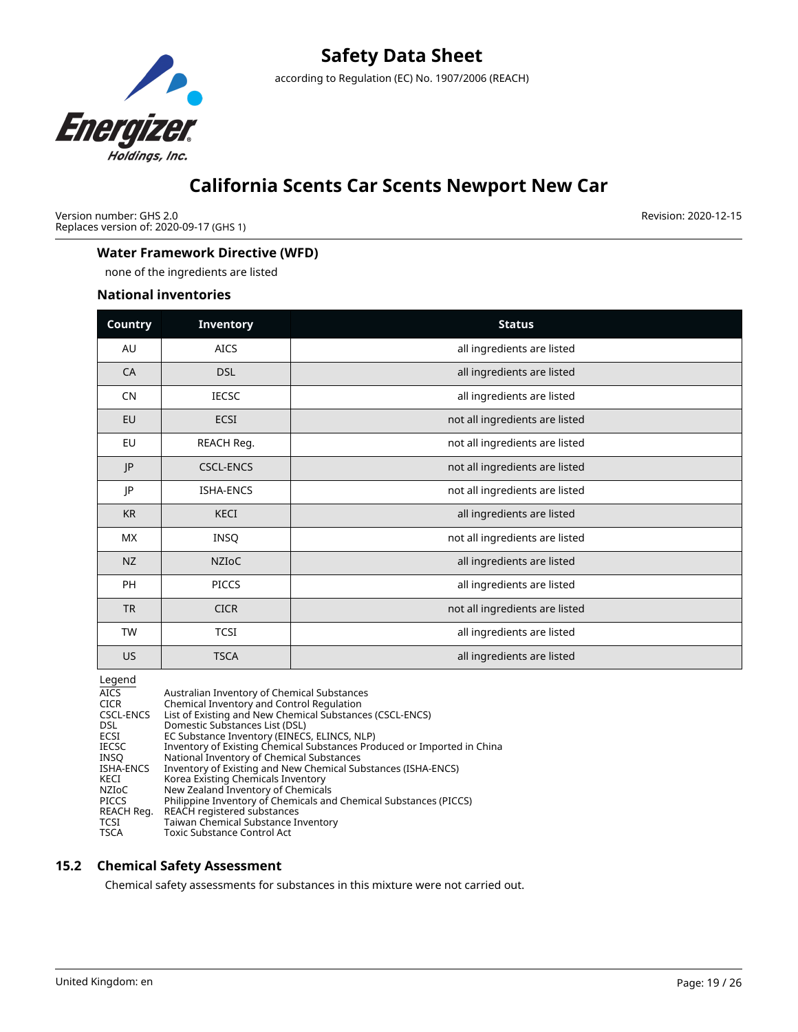

Version number: GHS 2.0 Replaces version of: 2020-09-17 (GHS 1) Revision: 2020-12-15

## **Water Framework Directive (WFD)**

none of the ingredients are listed

### **National inventories**

| Country   | <b>Inventory</b> | <b>Status</b>                  |
|-----------|------------------|--------------------------------|
| AU        | <b>AICS</b>      | all ingredients are listed     |
| CA        | <b>DSL</b>       | all ingredients are listed     |
| <b>CN</b> | <b>IECSC</b>     | all ingredients are listed     |
| EU        | <b>ECSI</b>      | not all ingredients are listed |
| EU        | REACH Reg.       | not all ingredients are listed |
| P         | <b>CSCL-ENCS</b> | not all ingredients are listed |
| JP        | <b>ISHA-ENCS</b> | not all ingredients are listed |
| <b>KR</b> | <b>KECI</b>      | all ingredients are listed     |
| <b>MX</b> | <b>INSQ</b>      | not all ingredients are listed |
| <b>NZ</b> | <b>NZIOC</b>     | all ingredients are listed     |
| PH        | PICCS            | all ingredients are listed     |
| <b>TR</b> | <b>CICR</b>      | not all ingredients are listed |
| TW        | <b>TCSI</b>      | all ingredients are listed     |
| US        | <b>TSCA</b>      | all ingredients are listed     |

Legend

| $-99 - 19$ |                                                                         |
|------------|-------------------------------------------------------------------------|
| AICS.      | Australian Inventory of Chemical Substances                             |
| CICR       | Chemical Inventory and Control Regulation                               |
| CSCL-ENCS  | List of Existing and New Chemical Substances (CSCL-ENCS)                |
| DSL        | Domestic Substances List (DSL)                                          |
| ECSI       | EC Substance Inventory (EINECS, ELINCS, NLP)                            |
| IECSC      | Inventory of Existing Chemical Substances Produced or Imported in China |
| INSO       | National Inventory of Chemical Substances                               |
| ISHA-ENCS  | Inventory of Existing and New Chemical Substances (ISHA-ENCS)           |
| KECI       | Korea Existing Chemicals Inventory                                      |
| NZIoC      | New Zealand Inventory of Chemicals                                      |
| PICCS      | Philippine Inventory of Chemicals and Chemical Substances (PICCS)       |
| REACH Reg. | REACH registered substances                                             |
| TCSI       | Taiwan Chemical Substance Inventory                                     |
| TSCA       | Toxic Substance Control Act                                             |
|            |                                                                         |

### **15.2 Chemical Safety Assessment**

Chemical safety assessments for substances in this mixture were not carried out.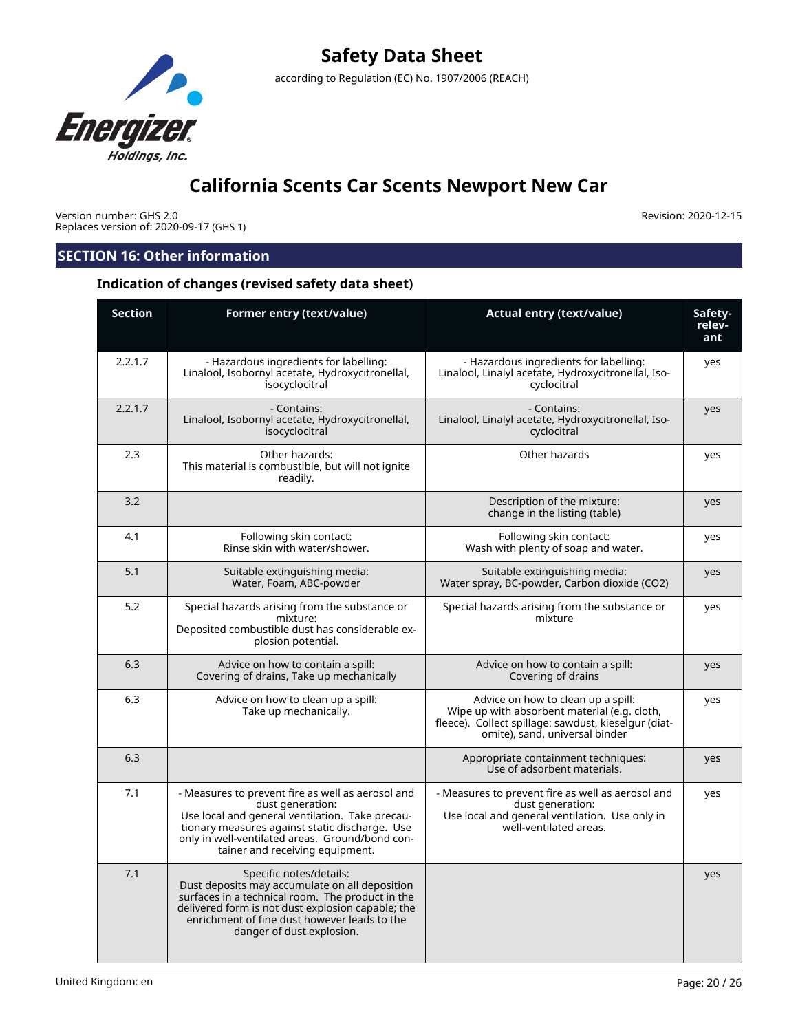

Version number: GHS 2.0 Replaces version of: 2020-09-17 (GHS 1) Revision: 2020-12-15

## **SECTION 16: Other information**

### **Indication of changes (revised safety data sheet)**

| <b>Section</b> | Former entry (text/value)                                                                                                                                                                                                                                        | <b>Actual entry (text/value)</b>                                                                                                                                             | Safety-<br>relev-<br>ant |
|----------------|------------------------------------------------------------------------------------------------------------------------------------------------------------------------------------------------------------------------------------------------------------------|------------------------------------------------------------------------------------------------------------------------------------------------------------------------------|--------------------------|
| 2.2.1.7        | - Hazardous ingredients for labelling:<br>Linalool, Isobornyl acetate, Hydroxycitronellal,<br>isocyclocitral                                                                                                                                                     | - Hazardous ingredients for labelling:<br>Linalool, Linalyl acetate, Hydroxycitronellal, Iso-<br>cyclocitral                                                                 | yes                      |
| 2.2.1.7        | - Contains:<br>Linalool, Isobornyl acetate, Hydroxycitronellal,<br>isocyclocitral                                                                                                                                                                                | - Contains:<br>Linalool, Linalyl acetate, Hydroxycitronellal, Iso-<br>cyclocitral                                                                                            | yes                      |
| 2.3            | Other hazards:<br>This material is combustible, but will not ignite<br>readily.                                                                                                                                                                                  | Other hazards                                                                                                                                                                | yes                      |
| 3.2            |                                                                                                                                                                                                                                                                  | Description of the mixture:<br>change in the listing (table)                                                                                                                 | yes                      |
| 4.1            | Following skin contact:<br>Rinse skin with water/shower.                                                                                                                                                                                                         | Following skin contact:<br>Wash with plenty of soap and water.                                                                                                               | yes                      |
| 5.1            | Suitable extinguishing media:<br>Water, Foam, ABC-powder                                                                                                                                                                                                         | Suitable extinguishing media:<br>Water spray, BC-powder, Carbon dioxide (CO2)                                                                                                | yes                      |
| 5.2            | Special hazards arising from the substance or<br>mixture:<br>Deposited combustible dust has considerable ex-<br>plosion potential.                                                                                                                               | Special hazards arising from the substance or<br>mixture                                                                                                                     | yes                      |
| 6.3            | Advice on how to contain a spill:<br>Covering of drains, Take up mechanically                                                                                                                                                                                    | Advice on how to contain a spill:<br>Covering of drains                                                                                                                      | yes                      |
| 6.3            | Advice on how to clean up a spill:<br>Take up mechanically.                                                                                                                                                                                                      | Advice on how to clean up a spill:<br>Wipe up with absorbent material (e.g. cloth,<br>fleece). Collect spillage: sawdust, kieselgur (diat-<br>omite), sand, universal binder | yes                      |
| 6.3            |                                                                                                                                                                                                                                                                  | Appropriate containment techniques:<br>Use of adsorbent materials.                                                                                                           | yes                      |
| 7.1            | - Measures to prevent fire as well as aerosol and<br>dust generation:<br>Use local and general ventilation. Take precau-<br>tionary measures against static discharge. Use<br>only in well-ventilated areas. Ground/bond con-<br>tainer and receiving equipment. | - Measures to prevent fire as well as aerosol and<br>dust generation:<br>Use local and general ventilation. Use only in<br>well-ventilated areas.                            | yes                      |
| 7.1            | Specific notes/details:<br>Dust deposits may accumulate on all deposition<br>surfaces in a technical room. The product in the<br>delivered form is not dust explosion capable; the<br>enrichment of fine dust however leads to the<br>danger of dust explosion.  |                                                                                                                                                                              | yes                      |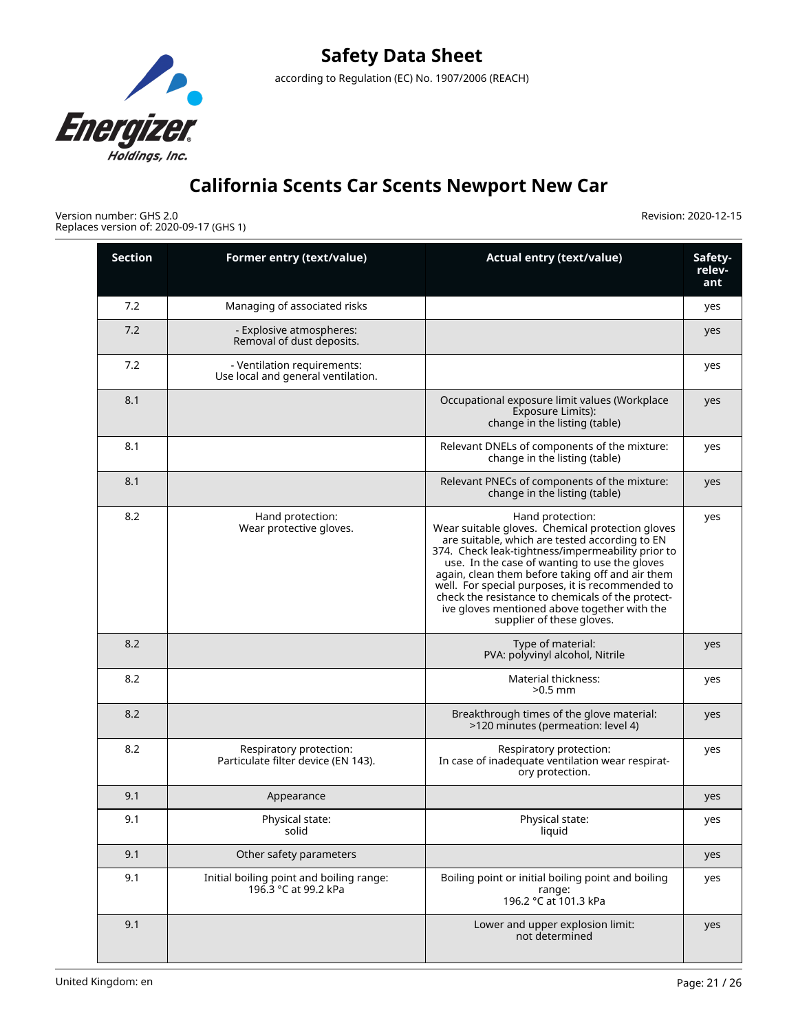

Version number: GHS 2.0 Replaces version of: 2020-09-17 (GHS 1)

| <b>Section</b> | Former entry (text/value)                                         | <b>Actual entry (text/value)</b>                                                                                                                                                                                                                                                                                                                                                                                                                                       | Safety-<br>relev-<br>ant |
|----------------|-------------------------------------------------------------------|------------------------------------------------------------------------------------------------------------------------------------------------------------------------------------------------------------------------------------------------------------------------------------------------------------------------------------------------------------------------------------------------------------------------------------------------------------------------|--------------------------|
| 7.2            | Managing of associated risks                                      |                                                                                                                                                                                                                                                                                                                                                                                                                                                                        | yes                      |
| 7.2            | - Explosive atmospheres:<br>Removal of dust deposits.             |                                                                                                                                                                                                                                                                                                                                                                                                                                                                        | yes                      |
| 7.2            | - Ventilation requirements:<br>Use local and general ventilation. |                                                                                                                                                                                                                                                                                                                                                                                                                                                                        | yes                      |
| 8.1            |                                                                   | Occupational exposure limit values (Workplace<br>Exposure Limits):<br>change in the listing (table)                                                                                                                                                                                                                                                                                                                                                                    | yes                      |
| 8.1            |                                                                   | Relevant DNELs of components of the mixture:<br>change in the listing (table)                                                                                                                                                                                                                                                                                                                                                                                          | yes                      |
| 8.1            |                                                                   | Relevant PNECs of components of the mixture:<br>change in the listing (table)                                                                                                                                                                                                                                                                                                                                                                                          | yes                      |
| 8.2            | Hand protection:<br>Wear protective gloves.                       | Hand protection:<br>Wear suitable gloves. Chemical protection gloves<br>are suitable, which are tested according to EN<br>374. Check leak-tightness/impermeability prior to<br>use. In the case of wanting to use the gloves<br>again, clean them before taking off and air them<br>well. For special purposes, it is recommended to<br>check the resistance to chemicals of the protect-<br>ive gloves mentioned above together with the<br>supplier of these gloves. | yes                      |
| 8.2            |                                                                   | Type of material:<br>PVA: polyvinyl alcohol, Nitrile                                                                                                                                                                                                                                                                                                                                                                                                                   | yes                      |
| 8.2            |                                                                   | Material thickness:<br>$>0.5$ mm                                                                                                                                                                                                                                                                                                                                                                                                                                       | yes                      |
| 8.2            |                                                                   | Breakthrough times of the glove material:<br>>120 minutes (permeation: level 4)                                                                                                                                                                                                                                                                                                                                                                                        | yes                      |
| 8.2            | Respiratory protection:<br>Particulate filter device (EN 143).    | Respiratory protection:<br>In case of inadequate ventilation wear respirat-<br>ory protection.                                                                                                                                                                                                                                                                                                                                                                         | yes                      |
| 9.1            | Appearance                                                        |                                                                                                                                                                                                                                                                                                                                                                                                                                                                        | yes                      |
| 9.1            | Physical state:<br>solid                                          | Physical state:<br>liquid                                                                                                                                                                                                                                                                                                                                                                                                                                              | yes                      |
| 9.1            | Other safety parameters                                           |                                                                                                                                                                                                                                                                                                                                                                                                                                                                        | yes                      |
| 9.1            | Initial boiling point and boiling range:<br>196.3 °C at 99.2 kPa  | Boiling point or initial boiling point and boiling<br>range:<br>196.2 °C at 101.3 kPa                                                                                                                                                                                                                                                                                                                                                                                  | yes                      |
| 9.1            |                                                                   | Lower and upper explosion limit:<br>not determined                                                                                                                                                                                                                                                                                                                                                                                                                     | yes                      |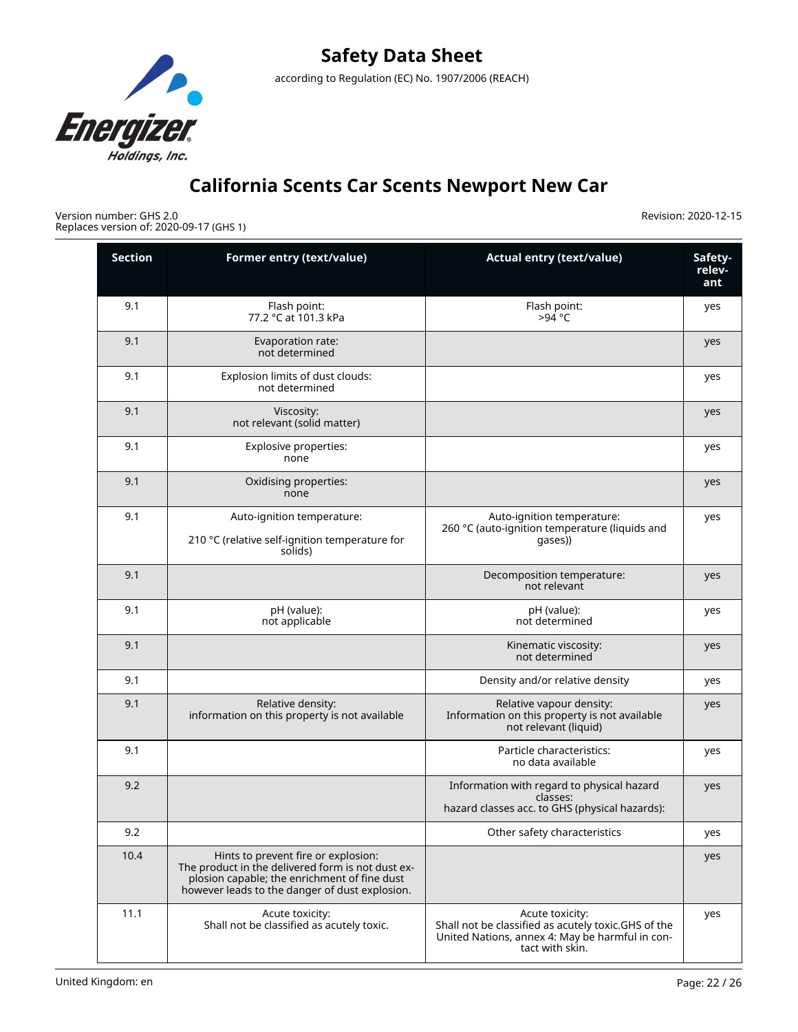

Version number: GHS 2.0 Replaces version of: 2020-09-17 (GHS 1)

| <b>Section</b> | Former entry (text/value)                                                                                                                                                                  | <b>Actual entry (text/value)</b>                                                                                                             | Safety-<br>relev-<br>ant |
|----------------|--------------------------------------------------------------------------------------------------------------------------------------------------------------------------------------------|----------------------------------------------------------------------------------------------------------------------------------------------|--------------------------|
| 9.1            | Flash point:<br>77.2 °C at 101.3 kPa                                                                                                                                                       | Flash point:<br>$>94$ °C                                                                                                                     | yes                      |
| 9.1            | Evaporation rate:<br>not determined                                                                                                                                                        |                                                                                                                                              | yes                      |
| 9.1            | Explosion limits of dust clouds:<br>not determined                                                                                                                                         |                                                                                                                                              | yes                      |
| 9.1            | Viscosity:<br>not relevant (solid matter)                                                                                                                                                  |                                                                                                                                              | yes                      |
| 9.1            | Explosive properties:<br>none                                                                                                                                                              |                                                                                                                                              | yes                      |
| 9.1            | Oxidising properties:<br>none                                                                                                                                                              |                                                                                                                                              | yes                      |
| 9.1            | Auto-ignition temperature:<br>210 °C (relative self-ignition temperature for<br>solids)                                                                                                    | Auto-ignition temperature:<br>260 °C (auto-ignition temperature (liquids and<br>qases))                                                      | yes                      |
| 9.1            |                                                                                                                                                                                            | Decomposition temperature:<br>not relevant                                                                                                   | yes                      |
| 9.1            | pH (value):<br>not applicable                                                                                                                                                              | pH (value):<br>not determined                                                                                                                | yes                      |
| 9.1            |                                                                                                                                                                                            | Kinematic viscosity:<br>not determined                                                                                                       | yes                      |
| 9.1            |                                                                                                                                                                                            | Density and/or relative density                                                                                                              | yes                      |
| 9.1            | Relative density:<br>information on this property is not available                                                                                                                         | Relative vapour density:<br>Information on this property is not available<br>not relevant (liquid)                                           | yes                      |
| 9.1            |                                                                                                                                                                                            | Particle characteristics:<br>no data available                                                                                               | yes                      |
| 9.2            |                                                                                                                                                                                            | Information with regard to physical hazard<br>classes:<br>hazard classes acc. to GHS (physical hazards):                                     | yes                      |
| 9.2            |                                                                                                                                                                                            | Other safety characteristics                                                                                                                 | yes                      |
| 10.4           | Hints to prevent fire or explosion:<br>The product in the delivered form is not dust ex-<br>plosion capable; the enrichment of fine dust<br>however leads to the danger of dust explosion. |                                                                                                                                              | yes                      |
| 11.1           | Acute toxicity:<br>Shall not be classified as acutely toxic.                                                                                                                               | Acute toxicity:<br>Shall not be classified as acutely toxic.GHS of the<br>United Nations, annex 4: May be harmful in con-<br>tact with skin. | yes                      |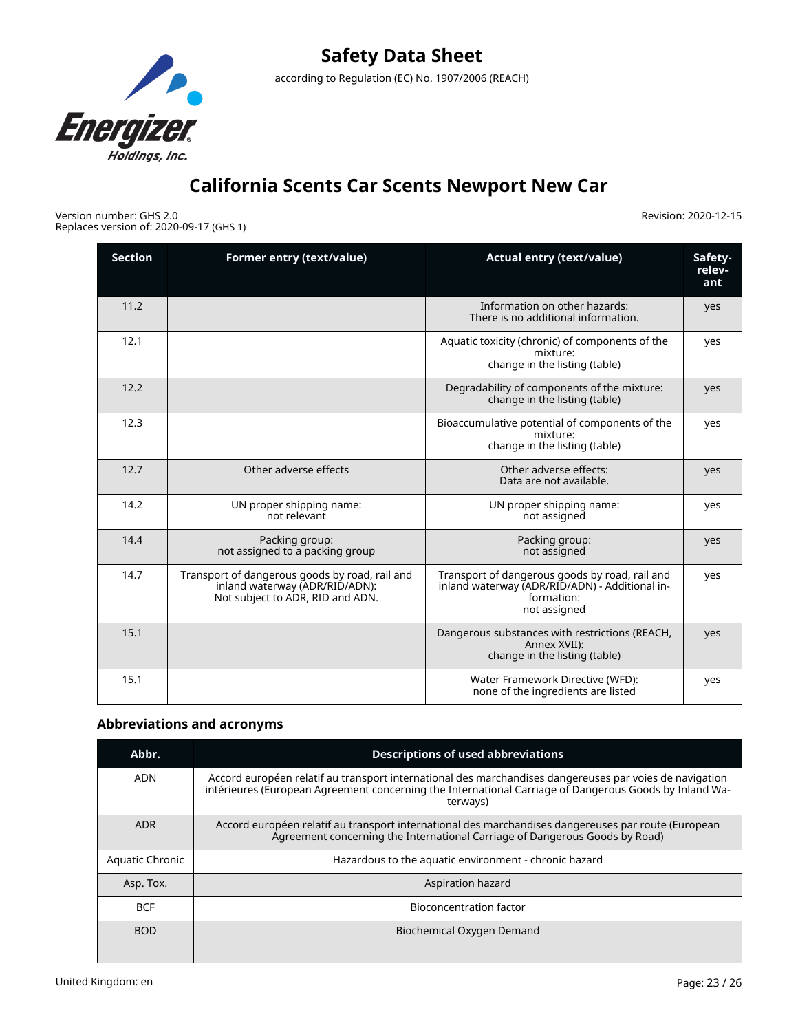

Version number: GHS 2.0 Replaces version of: 2020-09-17 (GHS 1) Revision: 2020-12-15

| <b>Section</b> | Former entry (text/value)                                                                                            | <b>Actual entry (text/value)</b>                                                                                               | Safety-<br>relev-<br>ant |
|----------------|----------------------------------------------------------------------------------------------------------------------|--------------------------------------------------------------------------------------------------------------------------------|--------------------------|
| 11.2           |                                                                                                                      | Information on other hazards:<br>There is no additional information.                                                           | yes                      |
| 12.1           |                                                                                                                      | Aquatic toxicity (chronic) of components of the<br>mixture:<br>change in the listing (table)                                   | yes                      |
| 12.2           |                                                                                                                      | Degradability of components of the mixture:<br>change in the listing (table)                                                   | yes                      |
| 12.3           |                                                                                                                      | Bioaccumulative potential of components of the<br>mixture:<br>change in the listing (table)                                    | ves                      |
| 12.7           | Other adverse effects                                                                                                | Other adverse effects:<br>Data are not available.                                                                              | yes                      |
| 14.2           | UN proper shipping name:<br>not relevant                                                                             | UN proper shipping name:<br>not assigned                                                                                       | yes                      |
| 14.4           | Packing group:<br>not assigned to a packing group                                                                    | Packing group:<br>not assigned                                                                                                 | yes                      |
| 14.7           | Transport of dangerous goods by road, rail and<br>inland waterway (ADR/RID/ADN):<br>Not subject to ADR, RID and ADN. | Transport of dangerous goods by road, rail and<br>inland waterway (ADR/RID/ADN) - Additional in-<br>formation:<br>not assigned | yes                      |
| 15.1           |                                                                                                                      | Dangerous substances with restrictions (REACH,<br>Annex XVII):<br>change in the listing (table)                                | yes                      |
| 15.1           |                                                                                                                      | Water Framework Directive (WFD):<br>none of the ingredients are listed                                                         | yes                      |

## **Abbreviations and acronyms**

| Abbr.           | <b>Descriptions of used abbreviations</b>                                                                                                                                                                                     |  |
|-----------------|-------------------------------------------------------------------------------------------------------------------------------------------------------------------------------------------------------------------------------|--|
| <b>ADN</b>      | Accord européen relatif au transport international des marchandises dangereuses par voies de navigation<br>intérieures (European Agreement concerning the International Carriage of Dangerous Goods by Inland Wa-<br>terways) |  |
| <b>ADR</b>      | Accord européen relatif au transport international des marchandises dangereuses par route (European<br>Agreement concerning the International Carriage of Dangerous Goods by Road)                                            |  |
| Aquatic Chronic | Hazardous to the aquatic environment - chronic hazard                                                                                                                                                                         |  |
| Asp. Tox.       | Aspiration hazard                                                                                                                                                                                                             |  |
| <b>BCF</b>      | <b>Bioconcentration factor</b>                                                                                                                                                                                                |  |
| <b>BOD</b>      | Biochemical Oxygen Demand                                                                                                                                                                                                     |  |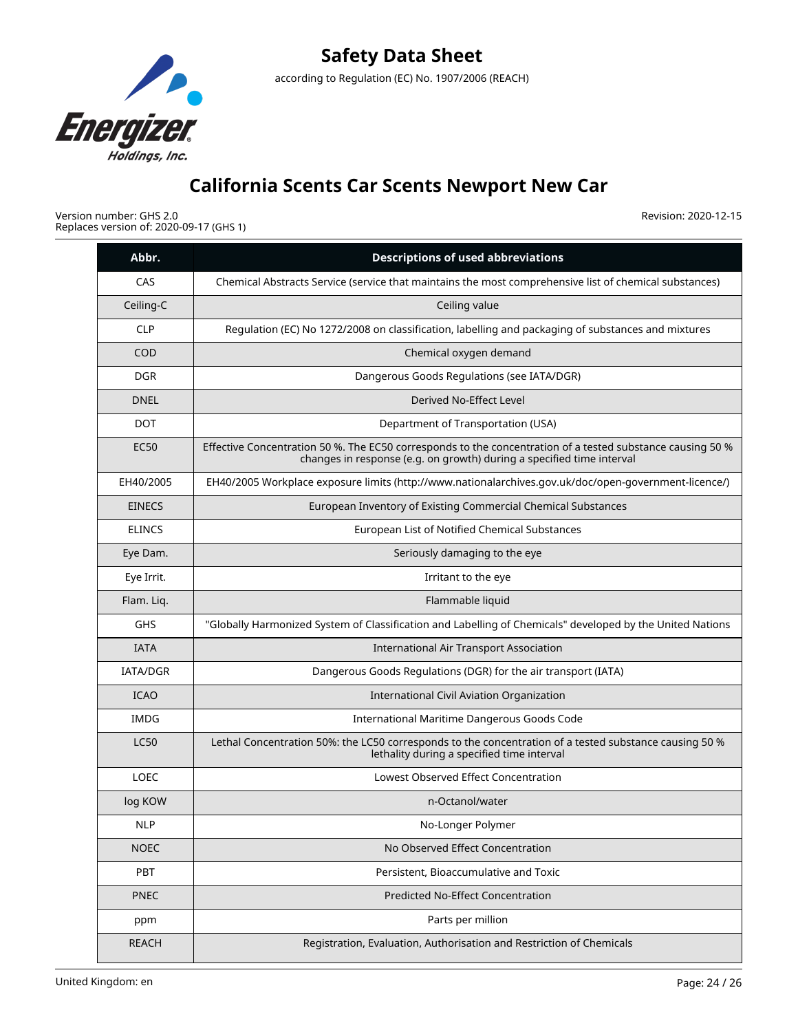

Version number: GHS 2.0 Replaces version of: 2020-09-17 (GHS 1)

| Abbr.           | <b>Descriptions of used abbreviations</b>                                                                                                                                           |
|-----------------|-------------------------------------------------------------------------------------------------------------------------------------------------------------------------------------|
| CAS             | Chemical Abstracts Service (service that maintains the most comprehensive list of chemical substances)                                                                              |
| Ceiling-C       | Ceiling value                                                                                                                                                                       |
| <b>CLP</b>      | Regulation (EC) No 1272/2008 on classification, labelling and packaging of substances and mixtures                                                                                  |
| COD             | Chemical oxygen demand                                                                                                                                                              |
| <b>DGR</b>      | Dangerous Goods Regulations (see IATA/DGR)                                                                                                                                          |
| <b>DNEL</b>     | Derived No-Effect Level                                                                                                                                                             |
| <b>DOT</b>      | Department of Transportation (USA)                                                                                                                                                  |
| <b>EC50</b>     | Effective Concentration 50 %. The EC50 corresponds to the concentration of a tested substance causing 50 %<br>changes in response (e.g. on growth) during a specified time interval |
| EH40/2005       | EH40/2005 Workplace exposure limits (http://www.nationalarchives.gov.uk/doc/open-government-licence/)                                                                               |
| <b>EINECS</b>   | European Inventory of Existing Commercial Chemical Substances                                                                                                                       |
| <b>ELINCS</b>   | European List of Notified Chemical Substances                                                                                                                                       |
| Eye Dam.        | Seriously damaging to the eye                                                                                                                                                       |
| Eye Irrit.      | Irritant to the eye                                                                                                                                                                 |
| Flam. Liq.      | Flammable liquid                                                                                                                                                                    |
| <b>GHS</b>      | "Globally Harmonized System of Classification and Labelling of Chemicals" developed by the United Nations                                                                           |
| <b>IATA</b>     | <b>International Air Transport Association</b>                                                                                                                                      |
| <b>IATA/DGR</b> | Dangerous Goods Regulations (DGR) for the air transport (IATA)                                                                                                                      |
| <b>ICAO</b>     | International Civil Aviation Organization                                                                                                                                           |
| <b>IMDG</b>     | International Maritime Dangerous Goods Code                                                                                                                                         |
| <b>LC50</b>     | Lethal Concentration 50%: the LC50 corresponds to the concentration of a tested substance causing 50 %<br>lethality during a specified time interval                                |
| <b>LOEC</b>     | Lowest Observed Effect Concentration                                                                                                                                                |
| log KOW         | n-Octanol/water                                                                                                                                                                     |
| <b>NLP</b>      | No-Longer Polymer                                                                                                                                                                   |
| <b>NOEC</b>     | No Observed Effect Concentration                                                                                                                                                    |
| PBT             | Persistent, Bioaccumulative and Toxic                                                                                                                                               |
| <b>PNEC</b>     | <b>Predicted No-Effect Concentration</b>                                                                                                                                            |
| ppm             | Parts per million                                                                                                                                                                   |
| <b>REACH</b>    | Registration, Evaluation, Authorisation and Restriction of Chemicals                                                                                                                |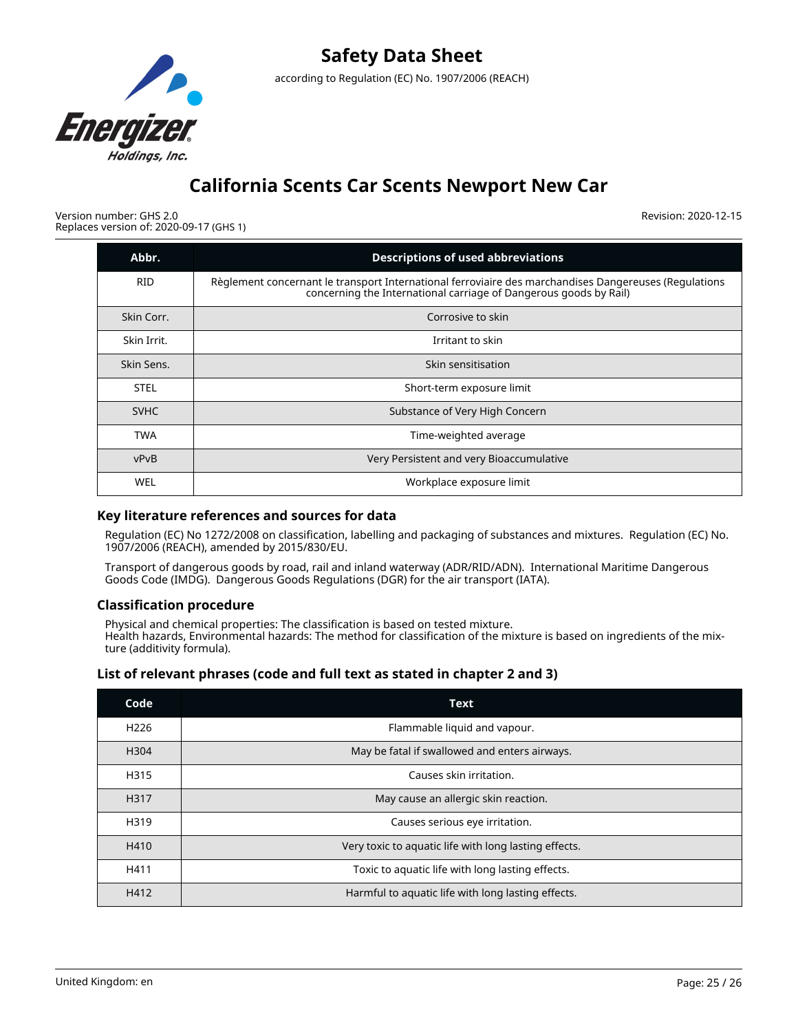

Version number: GHS 2.0 Replaces version of: 2020-09-17 (GHS 1)

Revision: 2020-12-15

| Abbr.       | <b>Descriptions of used abbreviations</b>                                                                                                                                  |
|-------------|----------------------------------------------------------------------------------------------------------------------------------------------------------------------------|
| <b>RID</b>  | Règlement concernant le transport International ferroviaire des marchandises Dangereuses (Regulations<br>concerning the International carriage of Dangerous goods by Rail) |
| Skin Corr.  | Corrosive to skin                                                                                                                                                          |
| Skin Irrit. | Irritant to skin                                                                                                                                                           |
| Skin Sens.  | Skin sensitisation                                                                                                                                                         |
| <b>STEL</b> | Short-term exposure limit                                                                                                                                                  |
| <b>SVHC</b> | Substance of Very High Concern                                                                                                                                             |
| <b>TWA</b>  | Time-weighted average                                                                                                                                                      |
| vPvB        | Very Persistent and very Bioaccumulative                                                                                                                                   |
| WEL         | Workplace exposure limit                                                                                                                                                   |

### **Key literature references and sources for data**

Regulation (EC) No 1272/2008 on classification, labelling and packaging of substances and mixtures. Regulation (EC) No. 1907/2006 (REACH), amended by 2015/830/EU.

Transport of dangerous goods by road, rail and inland waterway (ADR/RID/ADN). International Maritime Dangerous Goods Code (IMDG). Dangerous Goods Regulations (DGR) for the air transport (IATA).

### **Classification procedure**

Physical and chemical properties: The classification is based on tested mixture. Health hazards, Environmental hazards: The method for classification of the mixture is based on ingredients of the mixture (additivity formula).

### **List of relevant phrases (code and full text as stated in chapter 2 and 3)**

| Code             | Text                                                  |
|------------------|-------------------------------------------------------|
| H <sub>226</sub> | Flammable liquid and vapour.                          |
| H304             | May be fatal if swallowed and enters airways.         |
| H315             | Causes skin irritation.                               |
| H317             | May cause an allergic skin reaction.                  |
| H319             | Causes serious eye irritation.                        |
| H410             | Very toxic to aquatic life with long lasting effects. |
| H411             | Toxic to aquatic life with long lasting effects.      |
| H412             | Harmful to aquatic life with long lasting effects.    |